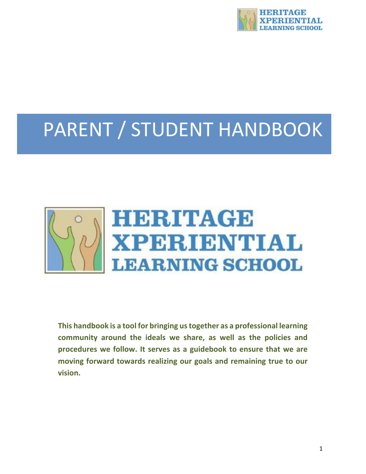

# PARENT / STUDENT HANDBOOK



**This handbook is a tool for bringing us together as a professional learning community around the ideals we share, as well as the policies and procedures we follow. It serves as a guidebook to ensure that we are moving forward towards realizing our goals and remaining true to our vision.**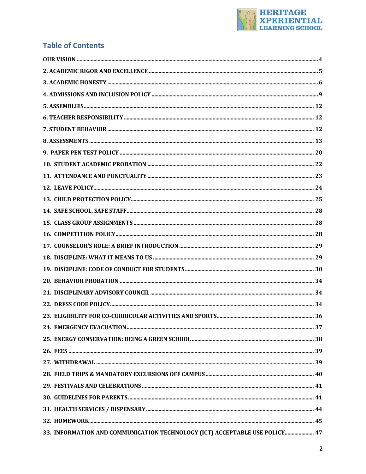

# **Table of Contents**

| 33. INFORMATION AND COMMUNICATION TECHNOLOGY (ICT) ACCEPTABLE USE POLICY 47 |  |
|-----------------------------------------------------------------------------|--|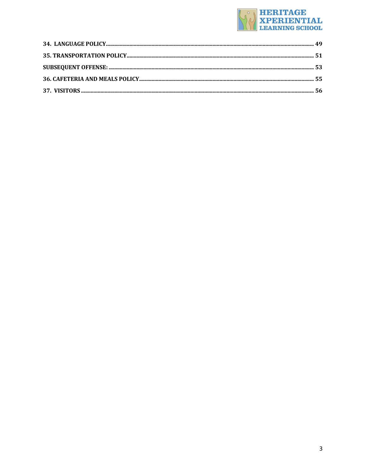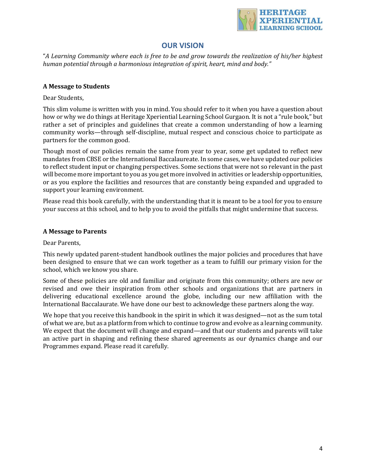

## **OUR VISION**

"A Learning Community where each is free to be and grow towards the realization of his/her highest human potential through a harmonious integration of spirit, heart, mind and body."

## **A Message to Students**

Dear Students.

This slim volume is written with you in mind. You should refer to it when you have a question about how or why we do things at Heritage Xperiential Learning School Gurgaon. It is not a "rule book," but rather a set of principles and guidelines that create a common understanding of how a learning community works—through self-discipline, mutual respect and conscious choice to participate as partners for the common good.

Though most of our policies remain the same from year to year, some get updated to reflect new mandates from CBSE or the International Baccalaureate. In some cases, we have updated our policies to reflect student input or changing perspectives. Some sections that were not so relevant in the past will become more important to you as you get more involved in activities or leadership opportunities, or as you explore the facilities and resources that are constantly being expanded and upgraded to support your learning environment.

Please read this book carefully, with the understanding that it is meant to be a tool for you to ensure your success at this school, and to help you to avoid the pitfalls that might undermine that success.

## **A Message to Parents**

Dear Parents,

This newly updated parent-student handbook outlines the major policies and procedures that have been designed to ensure that we can work together as a team to fulfill our primary vision for the school, which we know you share.

Some of these policies are old and familiar and originate from this community; others are new or revised and owe their inspiration from other schools and organizations that are partners in delivering educational excellence around the globe, including our new affiliation with the International Baccalaurate. We have done our best to acknowledge these partners along the way.

We hope that you receive this handbook in the spirit in which it was designed—not as the sum total of what we are, but as a platform from which to continue to grow and evolve as a learning community. We expect that the document will change and expand—and that our students and parents will take an active part in shaping and refining these shared agreements as our dynamics change and our Programmes expand. Please read it carefully.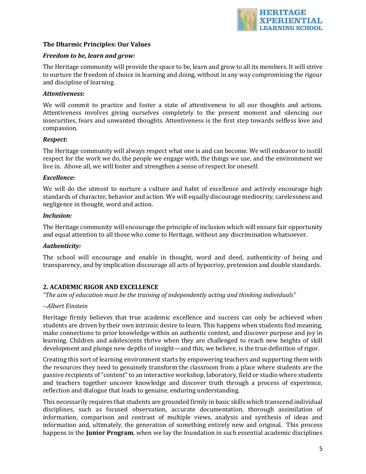

## **The Dharmic Principles: Our Values**

#### *Freedom to be, learn and grow:*

The Heritage community will provide the space to be, learn and grow to all its members. It will strive to nurture the freedom of choice in learning and doing, without in any way compromising the rigour and discipline of learning.

#### *Attentiveness:*

We will commit to practice and foster a state of attentiveness to all our thoughts and actions. Attentiveness involves giving ourselves completely to the present moment and silencing our insecurities, fears and unwanted thoughts. Attentiveness is the first step towards selfless love and compassion.

#### *Respect:*

The Heritage community will always respect what one is and can become. We will endeavor to instill respect for the work we do, the people we engage with, the things we use, and the environment we live in. Above all, we will foster and strengthen a sense of respect for oneself.

#### *Excellence:*

We will do the utmost to nurture a culture and habit of excellence and actively encourage high standards of character, behavior and action. We will equally discourage mediocrity, carelessness and negligence in thought, word and action.

#### *Inclusion:*

The Heritage community will encourage the principle of inclusion which will ensure fair opportunity and equal attention to all those who come to Heritage, without any discrimination whatsoever.

#### *Authenticity:*

The school will encourage and enable in thought, word and deed, authenticity of being and transparency, and by implication discourage all acts of hypocrisy, pretension and double standards.

#### **2. ACADEMIC RIGOR AND EXCELLENCE**

*"The aim of education must be the training of independently acting and thinking individuals"*

#### *--Albert Einstein*

Heritage firmly believes that true academic excellence and success can only be achieved when students are driven by their own intrinsic desire to learn. This happens when students find meaning, make connections to prior knowledge within an authentic context, and discover purpose and joy in learning. Children and adolescents thrive when they are challenged to reach new heights of skill development and plunge new depths of insight—and this, we believe, is the true definition of rigor.

Creating this sort of learning environment starts by empowering teachers and supporting them with the resources they need to genuinely transform the classroom from a place where students are the passive recipients of "content" to an interactive workshop, laboratory, field or studio where students and teachers together uncover knowledge and discover truth through a process of experience, reflection and dialogue that leads to genuine, enduring understanding.

This necessarily requires that students are grounded firmly in basic skills which transcend individual disciplines, such as focused observation, accurate documentation, thorough assimilation of information, comparison and contrast of multiple views, analysis and synthesis of ideas and information and, ultimately, the generation of something entirely new and original. This process happens in the **Junior Program**, when we lay the foundation in such essential academic disciplines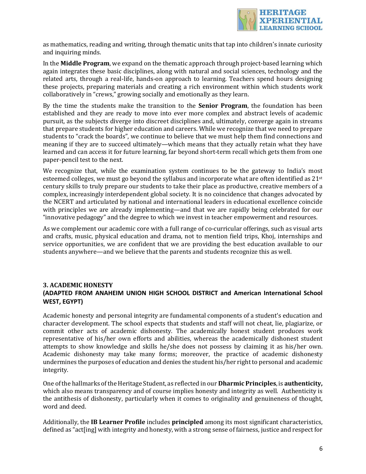

as mathematics, reading and writing, through thematic units that tap into children's innate curiosity and inquiring minds.

In the **Middle Program**, we expand on the thematic approach through project-based learning which again integrates these basic disciplines, along with natural and social sciences, technology and the related arts, through a real-life, hands-on approach to learning. Teachers spend hours designing these projects, preparing materials and creating a rich environment within which students work collaboratively in "crews," growing socially and emotionally as they learn.

By the time the students make the transition to the **Senior Program**, the foundation has been established and they are ready to move into ever more complex and abstract levels of academic pursuit, as the subjects diverge into discreet disciplines and, ultimately, converge again in streams that prepare students for higher education and careers. While we recognize that we need to prepare students to "crack the boards", we continue to believe that we must help them find connections and meaning if they are to succeed ultimately—which means that they actually retain what they have learned and can access it for future learning, far beyond short-term recall which gets them from one paper-pencil test to the next.

We recognize that, while the examination system continues to be the gateway to India's most esteemed colleges, we must go beyond the syllabus and incorporate what are often identified as 21<sup>st</sup> century skills to truly prepare our students to take their place as productive, creative members of a complex, increasingly interdependent global society. It is no coincidence that changes advocated by the NCERT and articulated by national and international leaders in educational excellence coincide with principles we are already implementing—and that we are rapidly being celebrated for our "innovative pedagogy" and the degree to which we invest in teacher empowerment and resources.

As we complement our academic core with a full range of co-curricular offerings, such as visual arts and crafts, music, physical education and drama, not to mention field trips, Khoj, internships and service opportunities, we are confident that we are providing the best education available to our students anywhere—and we believe that the parents and students recognize this as well.

## **3. ACADEMIC HONESTY (ADAPTED FROM ANAHEIM UNION HIGH SCHOOL DISTRICT and American International School WEST, EGYPT)**

Academic honesty and personal integrity are fundamental components of a student's education and character development. The school expects that students and staff will not cheat, lie, plagiarize, or commit other acts of academic dishonesty. The academically honest student produces work representative of his/her own efforts and abilities, whereas the academically dishonest student attempts to show knowledge and skills he/she does not possess by claiming it as his/her own. Academic dishonesty may take many forms; moreover, the practice of academic dishonesty undermines the purposes of education and denies the student his/her right to personal and academic integrity. 

One of the hallmarks of the Heritage Student, as reflected in our **Dharmic Principles**, is **authenticity**, which also means transparency and of course implies honesty and integrity as well. Authenticity is the antithesis of dishonesty, particularly when it comes to originality and genuineness of thought, word and deed.

Additionally, the **IB Learner Profile** includes **principled** among its most significant characteristics, defined as "act[ing] with integrity and honesty, with a strong sense of fairness, justice and respect for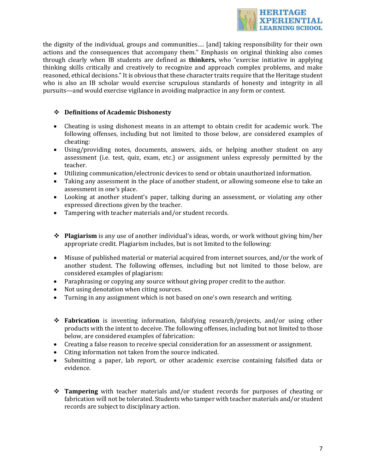

the dignity of the individual, groups and communities.... [and] taking responsibility for their own actions and the consequences that accompany them." Emphasis on original thinking also comes through clearly when IB students are defined as **thinkers**, who "exercise initiative in applying thinking skills critically and creatively to recognize and approach complex problems, and make reasoned, ethical decisions." It is obvious that these character traits require that the Heritage student who is also an IB scholar would exercise scrupulous standards of honesty and integrity in all pursuits—and would exercise vigilance in avoiding malpractice in any form or context.

## **❖** Definitions of Academic Dishonesty

- Cheating is using dishonest means in an attempt to obtain credit for academic work. The following offenses, including but not limited to those below, are considered examples of cheating:
- Using/providing notes, documents, answers, aids, or helping another student on any assessment (i.e. test, quiz, exam, etc.) or assignment unless expressly permitted by the teacher.
- Utilizing communication/electronic devices to send or obtain unauthorized information.
- Taking any assessment in the place of another student, or allowing someone else to take an assessment in one's place.
- Looking at another student's paper, talking during an assessment, or violating any other expressed directions given by the teacher.
- Tampering with teacher materials and/or student records.
- \* **Plagiarism** is any use of another individual's ideas, words, or work without giving him/her appropriate credit. Plagiarism includes, but is not limited to the following:
- Misuse of published material or material acquired from internet sources, and/or the work of another student. The following offenses, including but not limited to those below, are considered examples of plagiarism:
- Paraphrasing or copying any source without giving proper credit to the author.
- Not using denotation when citing sources.
- Turning in any assignment which is not based on one's own research and writing.
- **❖ Fabrication** is inventing information, falsifying research/projects, and/or using other products with the intent to deceive. The following offenses, including but not limited to those below, are considered examples of fabrication:
- Creating a false reason to receive special consideration for an assessment or assignment.
- Citing information not taken from the source indicated.
- Submitting a paper, lab report, or other academic exercise containing falsified data or evidence.
- **→ Tampering** with teacher materials and/or student records for purposes of cheating or fabrication will not be tolerated. Students who tamper with teacher materials and/or student records are subject to disciplinary action.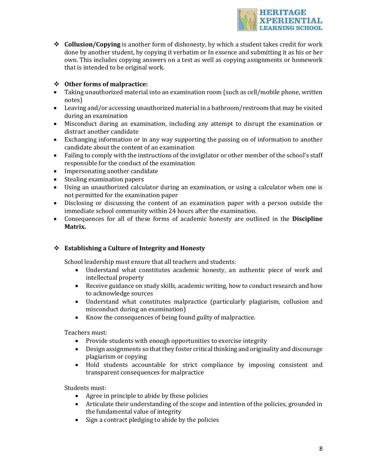

 **◆ Collusion/Copying** is another form of dishonesty, by which a student takes credit for work done by another student, by copying it verbatim or In essence and submitting it as his or her own. This includes copying answers on a test as well as copying assignments or homework that is intended to be original work.

## **❖** Other forms of malpractice:

- Taking unauthorized material into an examination room (such as cell/mobile phone, written notes)
- Leaving and/or accessing unauthorized material in a bathroom/restroom that may be visited during an examination
- Misconduct during an examination, including any attempt to disrupt the examination or distract another candidate
- Exchanging information or in any way supporting the passing on of information to another candidate about the content of an examination
- Failing to comply with the instructions of the invigilator or other member of the school's staff responsible for the conduct of the examination
- Impersonating another candidate
- Stealing examination papers
- Using an unauthorized calculator during an examination, or using a calculator when one is not permitted for the examination paper
- Disclosing or discussing the content of an examination paper with a person outside the immediate school community within 24 hours after the examination.
- Consequences for all of these forms of academic honesty are outlined in the **Discipline Matrix.**

## **❖** Establishing a Culture of Integrity and Honesty

School leadership must ensure that all teachers and students:

- Understand what constitutes academic honesty, an authentic piece of work and intellectual property
- Receive guidance on study skills, academic writing, how to conduct research and how to acknowledge sources
- Understand what constitutes malpractice (particularly plagiarism, collusion and misconduct during an examination)
- Know the consequences of being found guilty of malpractice.

Teachers must:

- Provide students with enough opportunities to exercise integrity
- Design assignments so that they foster critical thinking and originality and discourage plagiarism or copying
- Hold students accountable for strict compliance by imposing consistent and transparent consequences for malpractice

Students must:

- Agree in principle to abide by these policies
- Articulate their understanding of the scope and intention of the policies, grounded in the fundamental value of integrity
- $\bullet$  Sign a contract pledging to abide by the policies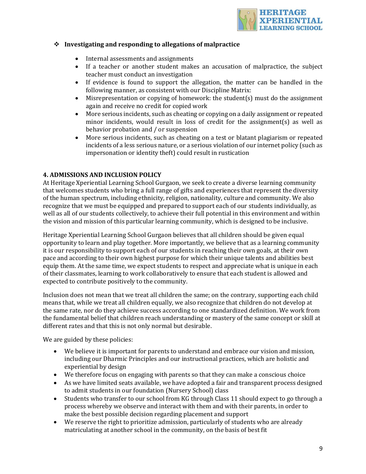

## **❖** Investigating and responding to allegations of malpractice

- Internal assessments and assignments
- If a teacher or another student makes an accusation of malpractice, the subject teacher must conduct an investigation
- If evidence is found to support the allegation, the matter can be handled in the following manner, as consistent with our Discipline Matrix:
- Misrepresentation or copying of homework: the student(s) must do the assignment again and receive no credit for copied work
- More serious incidents, such as cheating or copying on a daily assignment or repeated minor incidents, would result in loss of credit for the assignment(s) as well as behavior probation and / or suspension
- More serious incidents, such as cheating on a test or blatant plagiarism or repeated incidents of a less serious nature, or a serious violation of our internet policy (such as impersonation or identity theft) could result in rustication

#### **4. ADMISSIONS AND INCLUSION POLICY**

At Heritage Xperiential Learning School Gurgaon, we seek to create a diverse learning community that welcomes students who bring a full range of gifts and experiences that represent the diversity of the human spectrum, including ethnicity, religion, nationality, culture and community. We also recognize that we must be equipped and prepared to support each of our students individually, as well as all of our students collectively, to achieve their full potential in this environment and within the vision and mission of this particular learning community, which is designed to be inclusive.

Heritage Xperiential Learning School Gurgaon believes that all children should be given equal opportunity to learn and play together. More importantly, we believe that as a learning community it is our responsibility to support each of our students in reaching their own goals, at their own pace and according to their own highest purpose for which their unique talents and abilities best equip them. At the same time, we expect students to respect and appreciate what is unique in each of their classmates, learning to work collaboratively to ensure that each student is allowed and expected to contribute positively to the community.

Inclusion does not mean that we treat all children the same; on the contrary, supporting each child means that, while we treat all children equally, we also recognize that children do not develop at the same rate, nor do they achieve success according to one standardized definition. We work from the fundamental belief that children reach understanding or mastery of the same concept or skill at different rates and that this is not only normal but desirable.

We are guided by these policies:

- We believe it is important for parents to understand and embrace our vision and mission, including our Dharmic Principles and our instructional practices, which are holistic and experiential by design
- We therefore focus on engaging with parents so that they can make a conscious choice
- As we have limited seats available, we have adopted a fair and transparent process designed to admit students in our foundation (Nursery School) class
- Students who transfer to our school from KG through Class 11 should expect to go through a process whereby we observe and interact with them and with their parents, in order to make the best possible decision regarding placement and support
- We reserve the right to prioritize admission, particularly of students who are already matriculating at another school in the community, on the basis of best fit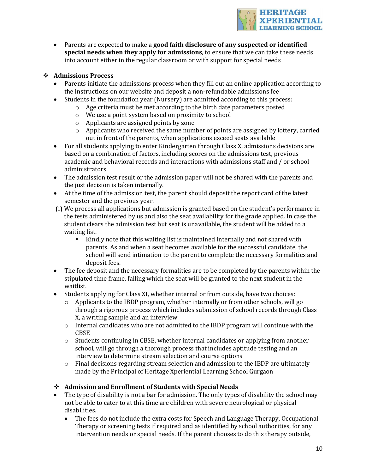

• Parents are expected to make a **good faith disclosure of any suspected or identified special needs when they apply for admissions**, to ensure that we can take these needs into account either in the regular classroom or with support for special needs

## v **Admissions Process**

- Parents initiate the admissions process when they fill out an online application according to the instructions on our website and deposit a non-refundable admissions fee
- Students in the foundation year (Nursery) are admitted according to this process:
	- $\circ$  Age criteria must be met according to the birth date parameters posted
	- $\circ$  We use a point system based on proximity to school
	- $\circ$  Applicants are assigned points by zone
	- $\circ$  Applicants who received the same number of points are assigned by lottery, carried out in front of the parents, when applications exceed seats available
- For all students applying to enter Kindergarten through Class X, admissions decisions are based on a combination of factors, including scores on the admissions test, previous academic and behavioral records and interactions with admissions staff and / or school administrators
- The admission test result or the admission paper will not be shared with the parents and the iust decision is taken internally.
- At the time of the admission test, the parent should deposit the report card of the latest semester and the previous year.
- (i) We process all applications but admission is granted based on the student's performance in the tests administered by us and also the seat availability for the grade applied. In case the student clears the admission test but seat is unavailable, the student will be added to a waiting list.
	- Kindly note that this waiting list is maintained internally and not shared with parents. As and when a seat becomes available for the successful candidate, the school will send intimation to the parent to complete the necessary formalities and deposit fees.
- The fee deposit and the necessary formalities are to be completed by the parents within the stipulated time frame, failing which the seat will be granted to the next student in the waitlist.
- Students applying for Class XI, whether internal or from outside, have two choices:
	- $\circ$  Applicants to the IBDP program, whether internally or from other schools, will go through a rigorous process which includes submission of school records through Class X, a writing sample and an interview
	- $\circ$  Internal candidates who are not admitted to the IBDP program will continue with the CBSE
	- $\circ$  Students continuing in CBSE, whether internal candidates or applying from another school, will go through a thorough process that includes aptitude testing and an interview to determine stream selection and course options
	- $\circ$  Final decisions regarding stream selection and admission to the IBDP are ultimately made by the Principal of Heritage Xperiential Learning School Gurgaon

## **❖** Admission and Enrollment of Students with Special Needs

- The type of disability is not a bar for admission. The only types of disability the school may not be able to cater to at this time are children with severe neurological or physical disabilities.
	- The fees do not include the extra costs for Speech and Language Therapy, Occupational Therapy or screening tests if required and as identified by school authorities, for any intervention needs or special needs. If the parent chooses to do this therapy outside,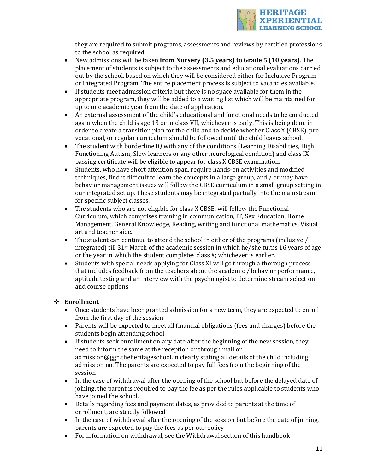

they are required to submit programs, assessments and reviews by certified professions to the school as required.

- New admissions will be taken from Nursery (3.5 years) to Grade 5 (10 years). The placement of students is subject to the assessments and educational evaluations carried out by the school, based on which they will be considered either for Inclusive Program or Integrated Program. The entire placement process is subject to vacancies available.
- If students meet admission criteria but there is no space available for them in the appropriate program, they will be added to a waiting list which will be maintained for up to one academic year from the date of application.
- An external assessment of the child's educational and functional needs to be conducted again when the child is age 13 or in class VII, whichever is early. This is being done in order to create a transition plan for the child and to decide whether Class X (CBSE), pre vocational, or regular curriculum should be followed until the child leaves school.
- The student with borderline IQ with any of the conditions (Learning Disabilities, High Functioning Autism, Slow learners or any other neurological condition) and class IX passing certificate will be eligible to appear for class X CBSE examination.
- Students, who have short attention span, require hands-on activities and modified techniques, find it difficult to learn the concepts in a large group, and / or may have behavior management issues will follow the CBSE curriculum in a small group setting in our integrated set up. These students may be integrated partially into the mainstream for specific subject classes.
- The students who are not eligible for class  $X$  CBSE, will follow the Functional Curriculum, which comprises training in communication, IT, Sex Education, Home Management, General Knowledge, Reading, writing and functional mathematics, Visual art and teacher aide.
- The student can continue to attend the school in either of the programs (inclusive / integrated) till  $31st$  March of the academic session in which he/she turns 16 years of age or the year in which the student completes class X; whichever is earlier.
- Students with special needs applying for Class XI will go through a thorough process that includes feedback from the teachers about the academic / behavior performance, aptitude testing and an interview with the psychologist to determine stream selection and course options

## v **Enrollment**

- Once students have been granted admission for a new term, they are expected to enroll from the first day of the session
- Parents will be expected to meet all financial obligations (fees and charges) before the students begin attending school
- If students seek enrollment on any date after the beginning of the new session, they need to inform the same at the reception or through mail on admission@ggn.theheritageschool.in clearly stating all details of the child including admission no. The parents are expected to pay full fees from the beginning of the session
- In the case of withdrawal after the opening of the school but before the delayed date of joining, the parent is required to pay the fee as per the rules applicable to students who have joined the school.
- Details regarding fees and payment dates, as provided to parents at the time of enrollment, are strictly followed
- In the case of withdrawal after the opening of the session but before the date of joining, parents are expected to pay the fees as per our policy
- For information on withdrawal, see the Withdrawal section of this handbook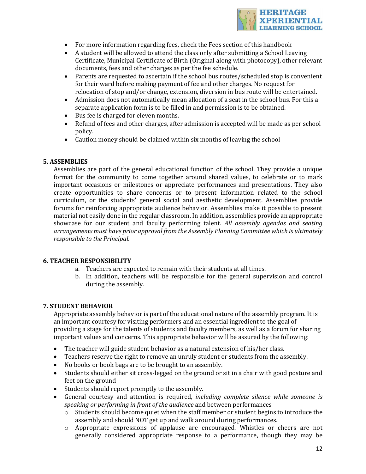

- For more information regarding fees, check the Fees section of this handbook
- A student will be allowed to attend the class only after submitting a School Leaving Certificate, Municipal Certificate of Birth (Original along with photocopy), other relevant documents, fees and other charges as per the fee schedule.
- Parents are requested to ascertain if the school bus routes/scheduled stop is convenient for their ward before making payment of fee and other charges. No request for relocation of stop and/or change, extension, diversion in bus route will be entertained.
- Admission does not automatically mean allocation of a seat in the school bus. For this a separate application form is to be filled in and permission is to be obtained.
- Bus fee is charged for eleven months.
- Refund of fees and other charges, after admission is accepted will be made as per school policy.
- Caution money should be claimed within six months of leaving the school

## **5. ASSEMBLIES**

Assemblies are part of the general educational function of the school. They provide a unique format for the community to come together around shared values, to celebrate or to mark important occasions or milestones or appreciate performances and presentations. They also create opportunities to share concerns or to present information related to the school curriculum, or the students' general social and aesthetic development. Assemblies provide forums for reinforcing appropriate audience behavior. Assemblies make it possible to present material not easily done in the regular classroom. In addition, assemblies provide an appropriate showcase for our student and faculty performing talent. *All assembly agendas and seating* arrangements must have prior approval from the Assembly Planning Committee which is ultimately *responsible to the Principal.* 

#### **6. TEACHER RESPONSIBILITY**

- a. Teachers are expected to remain with their students at all times.
- b. In addition, teachers will be responsible for the general supervision and control during the assembly.

## **7. STUDENT BEHAVIOR**

Appropriate assembly behavior is part of the educational nature of the assembly program. It is an important courtesy for visiting performers and an essential ingredient to the goal of providing a stage for the talents of students and faculty members, as well as a forum for sharing important values and concerns. This appropriate behavior will be assured by the following:

- The teacher will guide student behavior as a natural extension of his/her class.
- Teachers reserve the right to remove an unruly student or students from the assembly.
- No books or book bags are to be brought to an assembly.
- Students should either sit cross-legged on the ground or sit in a chair with good posture and feet on the ground
- Students should report promptly to the assembly.
- General courtesy and attention is required, *including complete silence while someone* is *speaking or performing in front of the audience* and between performances
	- $\circ$  Students should become quiet when the staff member or student begins to introduce the assembly and should NOT get up and walk around during performances.
	- $\circ$  Appropriate expressions of applause are encouraged. Whistles or cheers are not generally considered appropriate response to a performance, though they may be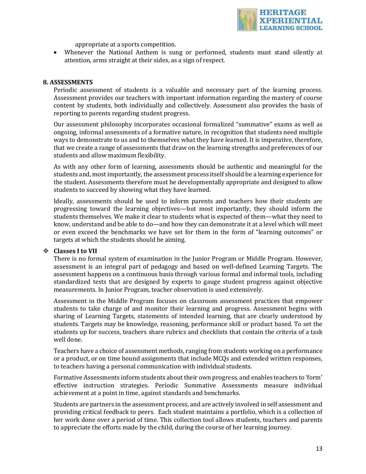

appropriate at a sports competition.

• Whenever the National Anthem is sung or performed, students must stand silently at attention, arms straight at their sides, as a sign of respect.

#### **8. ASSESSMENTS**

Periodic assessment of students is a valuable and necessary part of the learning process. Assessment provides our teachers with important information regarding the mastery of course content by students, both individually and collectively. Assessment also provides the basis of reporting to parents regarding student progress.

Our assessment philosophy incorporates occasional formalized "summative" exams as well as ongoing, informal assessments of a formative nature, in recognition that students need multiple ways to demonstrate to us and to themselves what they have learned. It is imperative, therefore, that we create a range of assessments that draw on the learning strengths and preferences of our students and allow maximum flexibility.

As with any other form of learning, assessments should be authentic and meaningful for the students and, most importantly, the assessment process itself should be a learning experience for the student. Assessments therefore must be developmentally appropriate and designed to allow students to succeed by showing what they have learned.

Ideally, assessments should be used to inform parents and teachers how their students are progressing toward the learning objectives—but most importantly, they should inform the students themselves. We make it clear to students what is expected of them—what they need to know, understand and be able to do—and how they can demonstrate it at a level which will meet or even exceed the benchmarks we have set for them in the form of "learning outcomes" or targets at which the students should be aiming.

#### $\div$  **Classes I** to VII

There is no formal system of examination in the Junior Program or Middle Program. However, assessment is an integral part of pedagogy and based on well-defined Learning Targets. The assessment happens on a continuous basis through various formal and informal tools, including standardized tests that are designed by experts to gauge student progress against objective measurements. In Junior Program, teacher observation is used extensively.

Assessment in the Middle Program focuses on classroom assessment practices that empower students to take charge of and monitor their learning and progress. Assessment begins with sharing of Learning Targets, statements of intended learning, that are clearly understood by students. Targets may be knowledge, reasoning, performance skill or product based. To set the students up for success, teachers share rubrics and checklists that contain the criteria of a task well done.

Teachers have a choice of assessment methods, ranging from students working on a performance or a product, or on time bound assignments that include MCQs and extended written responses, to teachers having a personal communication with individual students.

Formative Assessments inform students about their own progress, and enables teachers to 'form' effective instruction strategies. Periodic Summative Assessments measure individual achievement at a point in time, against standards and benchmarks.

Students are partners in the assessment process, and are actively involved in self assessment and providing critical feedback to peers. Each student maintains a portfolio, which is a collection of her work done over a period of time. This collection tool allows students, teachers and parents to appreciate the efforts made by the child, during the course of her learning journey.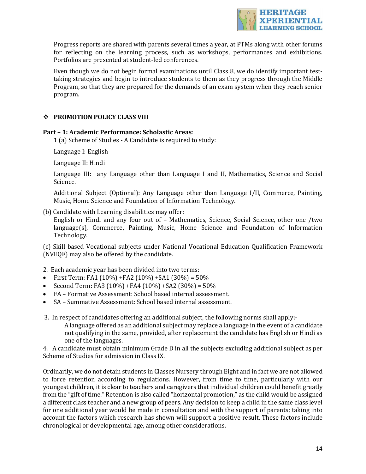

Progress reports are shared with parents several times a year, at PTMs along with other forums for reflecting on the learning process, such as workshops, performances and exhibitions. Portfolios are presented at student-led conferences.

Even though we do not begin formal examinations until Class 8, we do identify important testtaking strategies and begin to introduce students to them as they progress through the Middle Program, so that they are prepared for the demands of an exam system when they reach senior program.

## $\div$  **PROMOTION POLICY CLASS VIII**

#### **Part - 1: Academic Performance: Scholastic Areas:**

1 (a) Scheme of Studies - A Candidate is required to study:

Language I: English

Language II: Hindi

Language III: any Language other than Language I and II, Mathematics, Science and Social Science. 

Additional Subject (Optional): Any Language other than Language I/II, Commerce, Painting, Music, Home Science and Foundation of Information Technology.

(b) Candidate with Learning disabilities may offer:

English or Hindi and any four out of - Mathematics, Science, Social Science, other one /two  $lange(s)$ , Commerce, Painting, Music, Home Science and Foundation of Information Technology. 

(c) Skill based Vocational subjects under National Vocational Education Qualification Framework (NVEQF) may also be offered by the candidate.

- 2. Each academic year has been divided into two terms:
- First Term: FA1  $(10\%)$  + FA2  $(10\%)$  + SA1  $(30\%)$  = 50%
- Second Term: FA3 (10%) +FA4 (10%) +SA2 (30%) =  $50\%$
- FA Formative Assessment: School based internal assessment.
- SA Summative Assessment: School based internal assessment.
- 3. In respect of candidates offering an additional subject, the following norms shall apply:-A language offered as an additional subject may replace a language in the event of a candidate not qualifying in the same, provided, after replacement the candidate has English or Hindi as one of the languages.

4. A candidate must obtain minimum Grade D in all the subjects excluding additional subject as per Scheme of Studies for admission in Class IX.

Ordinarily, we do not detain students in Classes Nursery through Eight and in fact we are not allowed to force retention according to regulations. However, from time to time, particularly with our youngest children, it is clear to teachers and caregivers that individual children could benefit greatly from the "gift of time." Retention is also called "horizontal promotion," as the child would be assigned a different class teacher and a new group of peers. Any decision to keep a child in the same class level for one additional year would be made in consultation and with the support of parents; taking into account the factors which research has shown will support a positive result. These factors include chronological or developmental age, among other considerations.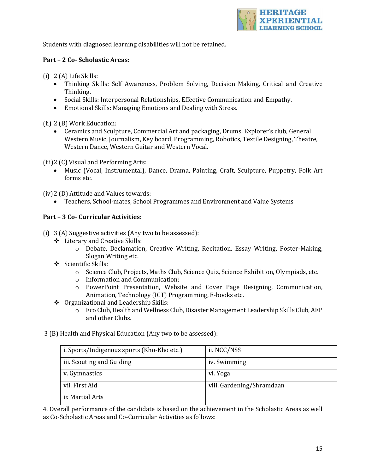

Students with diagnosed learning disabilities will not be retained.

## **Part - 2 Co- Scholastic Areas:**

 $(i)$  2  $(A)$  Life Skills:

- Thinking Skills: Self Awareness, Problem Solving, Decision Making, Critical and Creative Thinking.
- Social Skills: Interpersonal Relationships, Effective Communication and Empathy.
- Emotional Skills: Managing Emotions and Dealing with Stress.

(ii) 2 (B) Work Education:

• Ceramics and Sculpture, Commercial Art and packaging, Drums, Explorer's club, General Western Music, Journalism, Key board, Programming, Robotics, Textile Designing, Theatre, Western Dance, Western Guitar and Western Vocal.

(iii) 2 (C) Visual and Performing Arts:

• Music (Vocal, Instrumental), Dance, Drama, Painting, Craft, Sculpture, Puppetry, Folk Art forms etc.

(iv) 2 (D) Attitude and Values towards:

• Teachers, School-mates, School Programmes and Environment and Value Systems

#### **Part – 3 Co- Curricular Activities**:

(i)  $3(A)$  Suggestive activities (Any two to be assessed):

- ❖ Literary and Creative Skills:
	- o Debate, Declamation, Creative Writing, Recitation, Essay Writing, Poster-Making, Slogan Writing etc.
- Scientific Skills:
	- $\circ$  Science Club, Projects, Maths Club, Science Quiz, Science Exhibition, Olympiads, etc.
	- $\circ$  Information and Communication:
	- $\circ$  PowerPoint Presentation, Website and Cover Page Designing, Communication, Animation, Technology (ICT) Programming, E-books etc.
- ◆ Organizational and Leadership Skills:
	- $\circ$  Eco Club, Health and Wellness Club, Disaster Management Leadership Skills Club, AEP and other Clubs.
- 3 (B) Health and Physical Education (Any two to be assessed):

| i. Sports/Indigenous sports (Kho-Kho etc.) | ii. NCC/NSS               |
|--------------------------------------------|---------------------------|
| iii. Scouting and Guiding                  | iv. Swimming              |
| v. Gymnastics                              | vi. Yoga                  |
| vii. First Aid                             | viii. Gardening/Shramdaan |
| ix Martial Arts                            |                           |

4. Overall performance of the candidate is based on the achievement in the Scholastic Areas as well as Co-Scholastic Areas and Co-Curricular Activities as follows: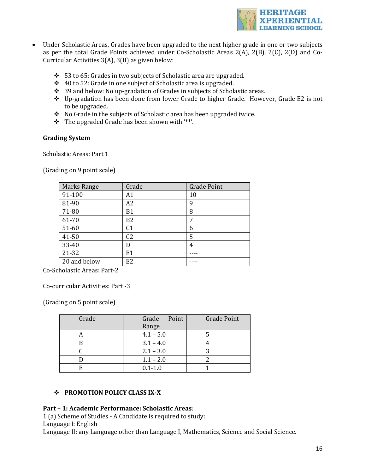

- Under Scholastic Areas, Grades have been upgraded to the next higher grade in one or two subjects as per the total Grade Points achieved under Co-Scholastic Areas  $2(A)$ ,  $2(B)$ ,  $2(C)$ ,  $2(D)$  and Co-Curricular Activities  $3(A)$ ,  $3(B)$  as given below:
	- $\div$  53 to 65: Grades in two subjects of Scholastic area are upgraded.
	- $\div$  40 to 52: Grade in one subject of Scholastic area is upgraded.
	- $\div$  39 and below: No up-gradation of Grades in subjects of Scholastic areas.
	- \* Up-gradation has been done from lower Grade to higher Grade. However, Grade E2 is not to be upgraded.
	- ◆ No Grade in the subjects of Scholastic area has been upgraded twice.
	- $\div$  The upgraded Grade has been shown with "\*".

#### **Grading System**

Scholastic Areas: Part 1

(Grading on 9 point scale)

| <b>Marks Range</b> | Grade          | <b>Grade Point</b> |
|--------------------|----------------|--------------------|
| 91-100             | A1             | 10                 |
| 81-90              | A2             | 9                  |
| 71-80              | <b>B1</b>      | 8                  |
| 61-70              | B <sub>2</sub> | 7                  |
| 51-60              | C <sub>1</sub> | 6                  |
| 41-50              | C <sub>2</sub> | 5                  |
| 33-40              | D              | 4                  |
| 21-32              | E1             |                    |
| 20 and below       | E <sub>2</sub> |                    |

Co-Scholastic Areas: Part-2 

Co-curricular Activities: Part -3 

(Grading on 5 point scale)

| Grade | Grade<br>Point<br>Range | <b>Grade Point</b> |
|-------|-------------------------|--------------------|
|       | $4.1 - 5.0$             |                    |
|       | $3.1 - 4.0$             |                    |
|       | $2.1 - 3.0$             |                    |
|       | $1.1 - 2.0$             |                    |
|       | $0.1 - 1.0$             |                    |

## **❖ PROMOTION POLICY CLASS IX-X**

## **Part - 1: Academic Performance: Scholastic Areas:**

1 (a) Scheme of Studies - A Candidate is required to study:

Language I: English 

Language II: any Language other than Language I, Mathematics, Science and Social Science.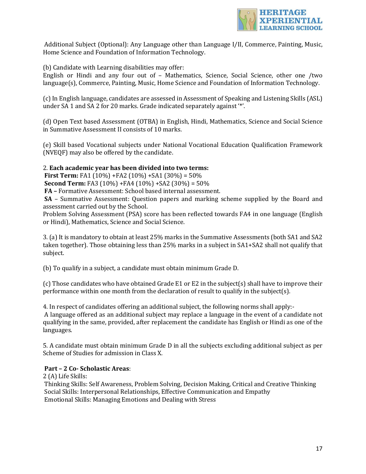

Additional Subject (Optional): Any Language other than Language I/II, Commerce, Painting, Music, Home Science and Foundation of Information Technology.

(b) Candidate with Learning disabilities may offer:

English or Hindi and any four out of  $-$  Mathematics, Science, Social Science, other one /two language(s), Commerce, Painting, Music, Home Science and Foundation of Information Technology.

(c) In English language, candidates are assessed in Assessment of Speaking and Listening Skills (ASL) under SA 1 and SA 2 for 20 marks. Grade indicated separately against '\*'.

(d) Open Text based Assessment (OTBA) in English, Hindi, Mathematics, Science and Social Science in Summative Assessment II consists of 10 marks.

(e) Skill based Vocational subjects under National Vocational Education Qualification Framework (NVEQF) may also be offered by the candidate.

#### 2. Each academic year has been divided into two terms:

**First Term:** FA1  $(10\%)$  + FA2  $(10\%)$  + SA1  $(30\%)$  = 50%

**Second Term:** FA3  $(10\%)$  +FA4  $(10\%)$  +SA2  $(30\%)$  = 50%

FA - Formative Assessment: School based internal assessment.

**SA** – Summative Assessment: Question papers and marking scheme supplied by the Board and assessment carried out by the School.

Problem Solving Assessment (PSA) score has been reflected towards FA4 in one language (English or Hindi), Mathematics, Science and Social Science.

3. (a) It is mandatory to obtain at least 25% marks in the Summative Assessments (both SA1 and SA2 taken together). Those obtaining less than  $25%$  marks in a subject in  $SA1+SA2$  shall not qualify that subject. 

(b) To qualify in a subject, a candidate must obtain minimum Grade D.

(c) Those candidates who have obtained Grade E1 or E2 in the subject(s) shall have to improve their performance within one month from the declaration of result to qualify in the subject(s).

4. In respect of candidates offering an additional subject, the following norms shall apply:-

A language offered as an additional subject may replace a language in the event of a candidate not qualifying in the same, provided, after replacement the candidate has English or Hindi as one of the languages. 

5. A candidate must obtain minimum Grade D in all the subjects excluding additional subject as per Scheme of Studies for admission in Class X.

## **Part – 2 Co- Scholastic Areas**:

2 (A) Life Skills:

Thinking Skills: Self Awareness, Problem Solving, Decision Making, Critical and Creative Thinking Social Skills: Interpersonal Relationships, Effective Communication and Empathy Emotional Skills: Managing Emotions and Dealing with Stress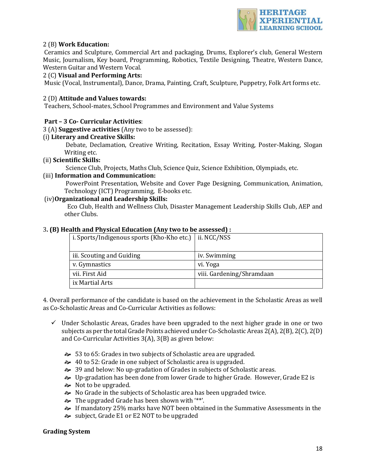

## 2 (B) **Work Education:**

Ceramics and Sculpture, Commercial Art and packaging, Drums, Explorer's club, General Western Music, Journalism, Key board, Programming, Robotics, Textile Designing, Theatre, Western Dance, Western Guitar and Western Vocal.

#### 2 (C) **Visual and Performing Arts:**

Music (Vocal, Instrumental), Dance, Drama, Painting, Craft, Sculpture, Puppetry, Folk Art forms etc.

#### 2 (D) Attitude and Values towards:

Teachers, School-mates, School Programmes and Environment and Value Systems

#### **Part – 3 Co- Curricular Activities**:

3 (A) **Suggestive activities** (Any two to be assessed): 

#### (i) **Literary and Creative Skills:**

Debate, Declamation, Creative Writing, Recitation, Essay Writing, Poster-Making, Slogan Writing etc.

#### (ii) **Scientific Skills:**

Science Club, Projects, Maths Club, Science Quiz, Science Exhibition, Olympiads, etc.

#### (iii) **Information and Communication:**

PowerPoint Presentation, Website and Cover Page Designing, Communication, Animation, Technology (ICT) Programming, E-books etc.

#### (iv)**Organizational and Leadership Skills:**

Eco Club, Health and Wellness Club, Disaster Management Leadership Skills Club, AEP and other Clubs.

#### **3. (B) Health and Physical Education (Any two to be assessed) :**

| i. Sports/Indigenous sports (Kho-Kho etc.)   ii. NCC/NSS |                           |
|----------------------------------------------------------|---------------------------|
|                                                          |                           |
| iii. Scouting and Guiding                                | iv. Swimming              |
| v. Gymnastics                                            | vi. Yoga                  |
| vii. First Aid                                           | viii. Gardening/Shramdaan |
| ix Martial Arts                                          |                           |

4. Overall performance of the candidate is based on the achievement in the Scholastic Areas as well as Co-Scholastic Areas and Co-Curricular Activities as follows:

- $\checkmark$  Under Scholastic Areas, Grades have been upgraded to the next higher grade in one or two subjects as per the total Grade Points achieved under Co-Scholastic Areas  $2(A)$ ,  $2(B)$ ,  $2(C)$ ,  $2(D)$ and Co-Curricular Activities  $3(A)$ ,  $3(B)$  as given below:
	- $\approx$  53 to 65: Grades in two subjects of Scholastic area are upgraded.
	- $\approx$  40 to 52: Grade in one subject of Scholastic area is upgraded.
	- $\approx$  39 and below: No up-gradation of Grades in subjects of Scholastic areas.
	- $\rightarrow$  Up-gradation has been done from lower Grade to higher Grade. However, Grade E2 is
	- $\approx$  Not to be upgraded.
	- $\rightarrow$  No Grade in the subjects of Scholastic area has been upgraded twice.
	- $\approx$  The upgraded Grade has been shown with "\*".
	- a If mandatory 25% marks have NOT been obtained in the Summative Assessments in the
	- $\approx$  subject, Grade E1 or E2 NOT to be upgraded

#### **Grading System**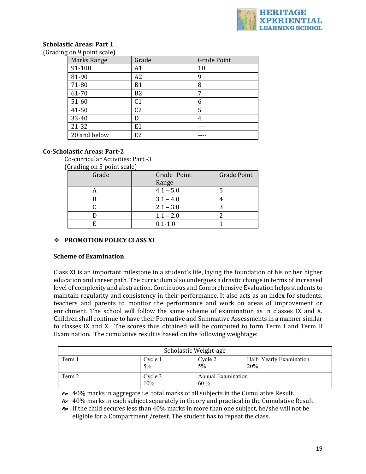

#### **Scholastic Areas: Part 1** (Grading on 9 point scale)

| $\sim$             |                |                    |
|--------------------|----------------|--------------------|
| <b>Marks Range</b> | Grade          | <b>Grade Point</b> |
| 91-100             | Α1             | 10                 |
| 81-90              | A2             | 9                  |
| 71-80              | B <sub>1</sub> | 8                  |
| 61-70              | B <sub>2</sub> | 7                  |
| 51-60              | C <sub>1</sub> | 6                  |
| 41-50              | C <sub>2</sub> | 5                  |
| 33-40              | D              | 4                  |
| 21-32              | E1             |                    |
| 20 and below       | E <sub>2</sub> |                    |

## **Co-Scholastic Areas: Part-2**

Co-curricular Activities: Part -3 

(Grading on 5 point scale)

| Grade | Grade Point | <b>Grade Point</b> |
|-------|-------------|--------------------|
|       | Range       |                    |
|       | $4.1 - 5.0$ |                    |
|       | $3.1 - 4.0$ |                    |
|       | $2.1 - 3.0$ |                    |
|       | $1.1 - 2.0$ |                    |
|       | $0.1 - 1.0$ |                    |

## **❖ PROMOTION POLICY CLASS XI**

#### **Scheme of Examination**

Class XI is an important milestone in a student's life, laying the foundation of his or her higher education and career path. The curriculum also undergoes a drastic change in terms of increased level of complexity and abstraction. Continuous and Comprehensive Evaluation helps students to maintain regularity and consistency in their performance. It also acts as an index for students, teachers and parents to monitor the performance and work on areas of improvement or enrichment. The school will follow the same scheme of examination as in classes IX and X. Children shall continue to have their Formative and Summative Assessments in a manner similar to classes IX and X. The scores thus obtained will be computed to form Term I and Term II Examination. The cumulative result is based on the following weightage:

| Scholastic Weight-age |                |                                     |                                |
|-----------------------|----------------|-------------------------------------|--------------------------------|
| Term 1                | Cycle 1<br>5%  | Cycle 2<br>$5\%$                    | Half-Yearly Examination<br>20% |
| Term 2                | Cycle 3<br>10% | <b>Annual Examination</b><br>$60\%$ |                                |

 $\leftrightarrow$  40% marks in aggregate i.e. total marks of all subjects in the Cumulative Result.

 $\approx 40\%$  marks in each subject separately in theory and practical in the Cumulative Result.

 $\approx$  If the child secures less than 40% marks in more than one subject, he/she will not be eligible for a Compartment / retest. The student has to repeat the class.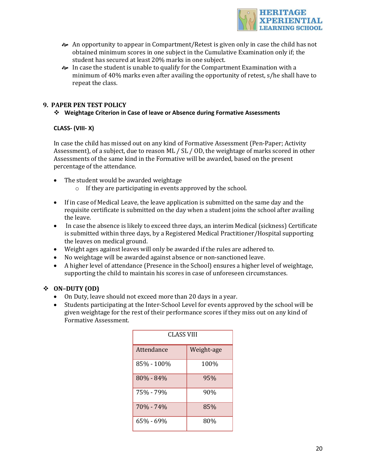

- $\rightarrow$  An opportunity to appear in Compartment/Retest is given only in case the child has not obtained minimum scores in one subject in the Cumulative Examination only if; the student has secured at least 20% marks in one subject.
- $\rightarrow$  In case the student is unable to qualify for the Compartment Examination with a minimum of  $40\%$  marks even after availing the opportunity of retest,  $s/he$  shall have to repeat the class.

## **9. PAPER PEN TEST POLICY**

## v **Weightage Criterion in Case of leave or Absence during Formative Assessments**

## **CLASS- (VIII- X)**

In case the child has missed out on any kind of Formative Assessment (Pen-Paper; Activity Assessment), of a subject, due to reason ML / SL / OD, the weightage of marks scored in other Assessments of the same kind in the Formative will be awarded, based on the present percentage of the attendance.

- The student would be awarded weightage
	- $\circ$  If they are participating in events approved by the school.
- If in case of Medical Leave, the leave application is submitted on the same day and the requisite certificate is submitted on the day when a student joins the school after availing the leave.
- In case the absence is likely to exceed three days, an interim Medical (sickness) Certificate is submitted within three days, by a Registered Medical Practitioner/Hospital supporting the leaves on medical ground.
- Weight ages against leaves will only be awarded if the rules are adhered to.
- No weightage will be awarded against absence or non-sanctioned leave.
- A higher level of attendance (Presence in the School) ensures a higher level of weightage, supporting the child to maintain his scores in case of unforeseen circumstances.

## v **ON–DUTY (OD)**

- On Duty, leave should not exceed more than 20 days in a year.
- Students participating at the Inter-School Level for events approved by the school will be given weightage for the rest of their performance scores if they miss out on any kind of Formative Assessment.

| CLASS VIII |            |  |
|------------|------------|--|
| Attendance | Weight-age |  |
| 85% - 100% | 100%       |  |
| 80% - 84%  | 95%        |  |
| 75% - 79%  | 90%        |  |
| 70% - 74%  | 85%        |  |
| 65% - 69%  | 80%        |  |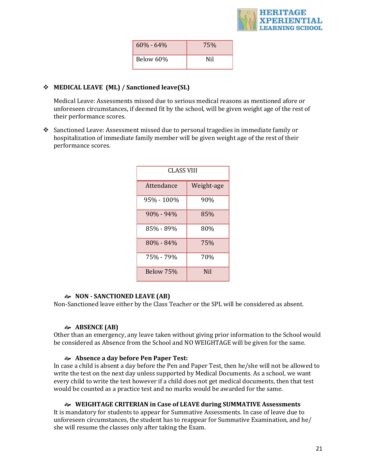

| $60\% - 64\%$ | 75% |
|---------------|-----|
| Below 60%     | Nil |

## **❖** MEDICAL LEAVE (ML) / Sanctioned leave(SL)

Medical Leave: Assessments missed due to serious medical reasons as mentioned afore or unforeseen circumstances, if deemed fit by the school, will be given weight age of the rest of their performance scores.

 $\cdot$  Sanctioned Leave: Assessment missed due to personal tragedies in immediate family or hospitalization of immediate family member will be given weight age of the rest of their performance scores.

| CLASS VIII    |            |  |
|---------------|------------|--|
| Attendance    | Weight-age |  |
| 95% - 100%    | 90%        |  |
| $90\% - 94\%$ | 85%        |  |
| 85% - 89%     | 80%        |  |
| 80% - 84%     | 75%        |  |
| 75% - 79%     | 70%        |  |
| Below 75%     | <b>Nil</b> |  |

#### $\approx$  **NON** - **SANCTIONED** LEAVE (AB)

Non-Sanctioned leave either by the Class Teacher or the SPL will be considered as absent.

## **ABSENCE (AB)**

Other than an emergency, any leave taken without giving prior information to the School would be considered as Absence from the School and NO WEIGHTAGE will be given for the same.

#### Absence a day before Pen Paper Test:

In case a child is absent a day before the Pen and Paper Test, then he/she will not be allowed to write the test on the next day unless supported by Medical Documents. As a school, we want every child to write the test however if a child does not get medical documents, then that test would be counted as a practice test and no marks would be awarded for the same.

#### **&** WEIGHTAGE CRITERIAN in Case of LEAVE during SUMMATIVE Assessments

It is mandatory for students to appear for Summative Assessments. In case of leave due to unforeseen circumstances, the student has to reappear for Summative Examination, and  $he/$ she will resume the classes only after taking the Exam.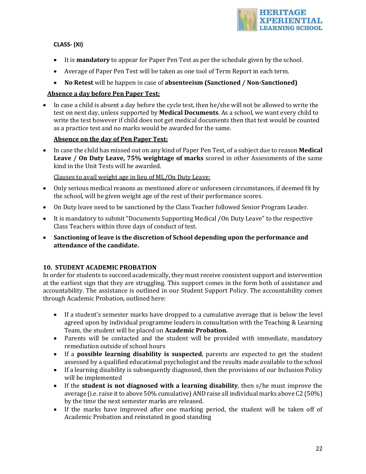

## **CLASS- (XI)**

- It is **mandatory** to appear for Paper Pen Test as per the schedule given by the school.
- Average of Paper Pen Test will be taken as one tool of Term Report in each term.
- No Retest will be happen in case of **absenteeism** (Sanctioned / Non-Sanctioned)

## **Absence a day before Pen Paper Test:**

• In case a child is absent a day before the cycle test, then he/she will not be allowed to write the test on next day, unless supported by **Medical Documents**. As a school, we want every child to write the test however if child does not get medical documents then that test would be counted as a practice test and no marks would be awarded for the same.

## **Absence on the day of Pen Paper Test:**

• In case the child has missed out on any kind of Paper Pen Test, of a subject due to reason **Medical Leave** / On Duty Leave, 75% weightage of marks scored in other Assessments of the same kind in the Unit Tests will be awarded.

Clauses to avail weight age in lieu of ML/On Duty Leave:

- Only serious medical reasons as mentioned afore or unforeseen circumstances, if deemed fit by the school, will be given weight age of the rest of their performance scores.
- On Duty leave need to be sanctioned by the Class Teacher followed Senior Program Leader.
- It is mandatory to submit "Documents Supporting Medical /On Duty Leave" to the respective Class Teachers within three days of conduct of test.
- Sanctioning of leave is the discretion of School depending upon the performance and **attendance of the candidate.**

## **10. STUDENT ACADEMIC PROBATION**

In order for students to succeed academically, they must receive consistent support and intervention at the earliest sign that they are struggling. This support comes in the form both of assistance and accountability. The assistance is outlined in our Student Support Policy. The accountability comes through Academic Probation, outlined here:

- If a student's semester marks have dropped to a cumulative average that is below the level agreed upon by individual programme leaders in consultation with the Teaching & Learning Team, the student will be placed on **Academic Probation.**
- Parents will be contacted and the student will be provided with immediate, mandatory remediation outside of school hours
- If a **possible learning disability is suspected**, parents are expected to get the student assessed by a qualified educational psychologist and the results made available to the school
- If a learning disability is subsequently diagnosed, then the provisions of our Inclusion Policy will be implemented
- If the **student is not diagnosed with a learning disability**, then s/he must improve the average (i.e. raise it to above 50% cumulative) AND raise all individual marks above  $C2(50%)$ by the time the next semester marks are released.
- If the marks have improved after one marking period, the student will be taken off of Academic Probation and reinstated in good standing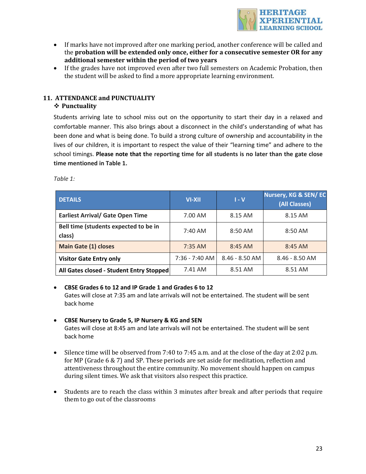

- If marks have not improved after one marking period, another conference will be called and the **probation** will be extended only once, either for a consecutive semester OR for any **additional semester within the period of two years**
- If the grades have not improved even after two full semesters on Academic Probation, then the student will be asked to find a more appropriate learning environment.

# 11. ATTENDANCE and PUNCTUALITY

## v **Punctuality**

Students arriving late to school miss out on the opportunity to start their day in a relaxed and comfortable manner. This also brings about a disconnect in the child's understanding of what has been done and what is being done. To build a strong culture of ownership and accountability in the lives of our children, it is important to respect the value of their "learning time" and adhere to the school timings. **Please note that the reporting time for all students is no later than the gate close time mentioned in Table 1.** 

*Table 1:*

| <b>DETAILS</b>                                  | <b>VI-XII</b>    | $1 - V$          | Nursery, KG & SEN/EC<br>(All Classes) |
|-------------------------------------------------|------------------|------------------|---------------------------------------|
| <b>Earliest Arrival/ Gate Open Time</b>         | 7.00 AM          | 8.15 AM          | 8.15 AM                               |
| Bell time (students expected to be in<br>class) | $7:40$ AM        | $8:50$ AM        | 8:50 AM                               |
| <b>Main Gate (1) closes</b>                     | $7:35$ AM        | $8:45$ AM        | $8:45$ AM                             |
| <b>Visitor Gate Entry only</b>                  | $7:36 - 7:40$ AM | $8.46 - 8.50$ AM | $8.46 - 8.50$ AM                      |
| All Gates closed - Student Entry Stopped        | 7.41 AM          | 8.51 AM          | 8.51 AM                               |

## • **CBSE Grades 6 to 12 and IP Grade 1 and Grades 6 to 12**

Gates will close at 7:35 am and late arrivals will not be entertained. The student will be sent back home

## • **CBSE Nursery to Grade 5, IP Nursery & KG and SEN**

Gates will close at 8:45 am and late arrivals will not be entertained. The student will be sent back home

- Silence time will be observed from 7:40 to 7:45 a.m. and at the close of the day at 2:02 p.m. for MP (Grade  $6 \& 7$ ) and SP. These periods are set aside for meditation, reflection and attentiveness throughout the entire community. No movement should happen on campus during silent times. We ask that visitors also respect this practice.
- Students are to reach the class within 3 minutes after break and after periods that require them to go out of the classrooms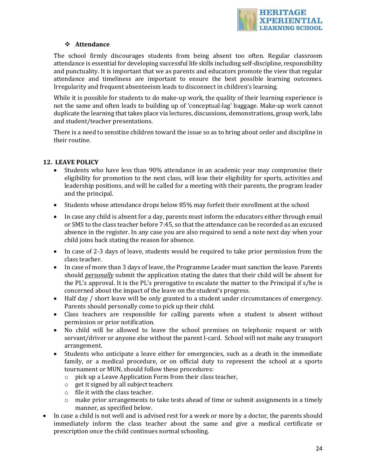

## v **Attendance**

The school firmly discourages students from being absent too often. Regular classroom attendance is essential for developing successful life skills including self-discipline, responsibility and punctuality. It is important that we as parents and educators promote the view that regular attendance and timeliness are important to ensure the best possible learning outcomes. Irregularity and frequent absenteeism leads to disconnect in children's learning.

While it is possible for students to do make-up work, the quality of their learning experience is not the same and often leads to building up of 'conceptual-lag' baggage. Make-up work cannot duplicate the learning that takes place via lectures, discussions, demonstrations, group work, labs and student/teacher presentations.

There is a need to sensitize children toward the issue so as to bring about order and discipline in their routine.

## **12. LEAVE POLICY**

- Students who have less than 90% attendance in an academic year may compromise their eligibility for promotion to the next class, will lose their eligibility for sports, activities and leadership positions, and will be called for a meeting with their parents, the program leader and the principal.
- Students whose attendance drops below 85% may forfeit their enrollment at the school
- In case any child is absent for a day, parents must inform the educators either through email or SMS to the class teacher before 7:45, so that the attendance can be recorded as an excused absence in the register. In any case you are also required to send a note next day when your child joins back stating the reason for absence.
- In case of 2-3 days of leave, students would be required to take prior permission from the class teacher.
- In case of more than 3 days of leave, the Programme Leader must sanction the leave. Parents should *personally* submit the application stating the dates that their child will be absent for the PL's approval. It is the PL's prerogative to escalate the matter to the Principal if  $s/$ he is concerned about the impact of the leave on the student's progress.
- Half day / short leave will be only granted to a student under circumstances of emergency. Parents should personally come to pick up their child.
- Class teachers are responsible for calling parents when a student is absent without permission or prior notification.
- No child will be allowed to leave the school premises on telephonic request or with servant/driver or anyone else without the parent I-card. School will not make any transport arrangement.
- Students who anticipate a leave either for emergencies, such as a death in the immediate family, or a medical procedure, or on official duty to represent the school at a sports tournament or MUN, should follow these procedures:
	- $\circ$  pick up a Leave Application Form from their class teacher,
	- $\circ$  get it signed by all subject teachers
	- $\circ$  file it with the class teacher.
	- o make prior arrangements to take tests ahead of time or submit assignments in a timely manner, as specified below.
- In case a child is not well and is advised rest for a week or more by a doctor, the parents should immediately inform the class teacher about the same and give a medical certificate or prescription once the child continues normal schooling.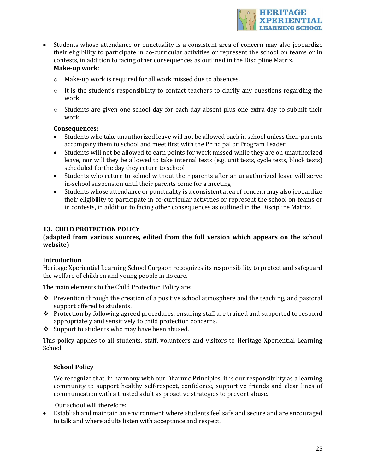

- Students whose attendance or punctuality is a consistent area of concern may also jeopardize their eligibility to participate in co-curricular activities or represent the school on teams or in contests, in addition to facing other consequences as outlined in the Discipline Matrix. **Make-up work**:
	- $\circ$  Make-up work is required for all work missed due to absences.
	- $\circ$  It is the student's responsibility to contact teachers to clarify any questions regarding the work.
	- $\circ$  Students are given one school day for each day absent plus one extra day to submit their work.

#### **Consequences:**

- Students who take unauthorized leave will not be allowed back in school unless their parents accompany them to school and meet first with the Principal or Program Leader
- Students will not be allowed to earn points for work missed while they are on unauthorized leave, nor will they be allowed to take internal tests (e.g. unit tests, cycle tests, block tests) scheduled for the day they return to school
- Students who return to school without their parents after an unauthorized leave will serve in-school suspension until their parents come for a meeting
- Students whose attendance or punctuality is a consistent area of concern may also jeopardize their eligibility to participate in co-curricular activities or represent the school on teams or in contests, in addition to facing other consequences as outlined in the Discipline Matrix.

#### **13. CHILD PROTECTION POLICY**

## (adapted from various sources, edited from the full version which appears on the school **website)**

#### **Introduction**

Heritage Xperiential Learning School Gurgaon recognizes its responsibility to protect and safeguard the welfare of children and young people in its care.

The main elements to the Child Protection Policy are:

- $\cdot$  Prevention through the creation of a positive school atmosphere and the teaching, and pastoral support offered to students.
- $\cdot$  Protection by following agreed procedures, ensuring staff are trained and supported to respond appropriately and sensitively to child protection concerns.
- $\div$  Support to students who may have been abused.

This policy applies to all students, staff, volunteers and visitors to Heritage Xperiential Learning School.

## **School Policy**

We recognize that, in harmony with our Dharmic Principles, it is our responsibility as a learning community to support healthy self-respect, confidence, supportive friends and clear lines of communication with a trusted adult as proactive strategies to prevent abuse.

Our school will therefore:

• Establish and maintain an environment where students feel safe and secure and are encouraged to talk and where adults listen with acceptance and respect.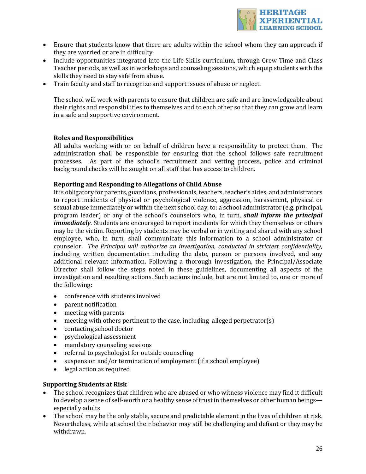

- Ensure that students know that there are adults within the school whom they can approach if they are worried or are in difficulty.
- Include opportunities integrated into the Life Skills curriculum, through Crew Time and Class Teacher periods, as well as in workshops and counseling sessions, which equip students with the skills they need to stay safe from abuse.
- Train faculty and staff to recognize and support issues of abuse or neglect.

The school will work with parents to ensure that children are safe and are knowledgeable about their rights and responsibilities to themselves and to each other so that they can grow and learn in a safe and supportive environment.

#### **Roles and Responsibilities**

All adults working with or on behalf of children have a responsibility to protect them. The administration shall be responsible for ensuring that the school follows safe recruitment processes. As part of the school's recruitment and vetting process, police and criminal background checks will be sought on all staff that has access to children.

#### **Reporting and Responding to Allegations of Child Abuse**

It is obligatory for parents, guardians, professionals, teachers, teacher's aides, and administrators to report incidents of physical or psychological violence, aggression, harassment, physical or sexual abuse immediately or within the next school day, to: a school administrator (e.g. principal, program leader) or any of the school's counselors who, in turn, **shall inform the principal** *immediately*. Students are encouraged to report incidents for which they themselves or others may be the victim. Reporting by students may be verbal or in writing and shared with any school employee, who, in turn, shall communicate this information to a school administrator or counselor. The Principal will authorize an investigation, conducted in strictest confidentiality, including written documentation including the date, person or persons involved, and any additional relevant information. Following a thorough investigation, the Principal/Associate Director shall follow the steps noted in these guidelines, documenting all aspects of the investigation and resulting actions. Such actions include, but are not limited to, one or more of the following:

- conference with students involved
- parent notification
- meeting with parents
- meeting with others pertinent to the case, including alleged perpetrator(s)
- contacting school doctor
- psychological assessment
- mandatory counseling sessions
- $\bullet$  referral to psychologist for outside counseling
- suspension and/or termination of employment (if a school employee)
- legal action as required

#### **Supporting Students at Risk**

- The school recognizes that children who are abused or who witness violence may find it difficult to develop a sense of self-worth or a healthy sense of trust in themselves or other human beings especially adults
- The school may be the only stable, secure and predictable element in the lives of children at risk. Nevertheless, while at school their behavior may still be challenging and defiant or they may be withdrawn.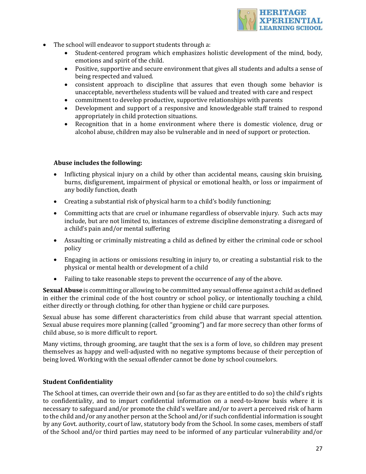

- The school will endeavor to support students through a:
	- Student-centered program which emphasizes holistic development of the mind, body, emotions and spirit of the child.
	- Positive, supportive and secure environment that gives all students and adults a sense of being respected and valued.
	- consistent approach to discipline that assures that even though some behavior is unacceptable, nevertheless students will be valued and treated with care and respect
	- commitment to develop productive, supportive relationships with parents
	- Development and support of a responsive and knowledgeable staff trained to respond appropriately in child protection situations.
	- Recognition that in a home environment where there is domestic violence, drug or alcohol abuse, children may also be vulnerable and in need of support or protection.

#### Abuse includes the following:

- Inflicting physical injury on a child by other than accidental means, causing skin bruising, burns, disfigurement, impairment of physical or emotional health, or loss or impairment of any bodily function, death
- Creating a substantial risk of physical harm to a child's bodily functioning;
- Committing acts that are cruel or inhumane regardless of observable injury. Such acts may include, but are not limited to, instances of extreme discipline demonstrating a disregard of a child's pain and/or mental suffering
- Assaulting or criminally mistreating a child as defined by either the criminal code or school policy
- Engaging in actions or omissions resulting in injury to, or creating a substantial risk to the physical or mental health or development of a child
- Failing to take reasonable steps to prevent the occurrence of any of the above.

**Sexual Abuse** is committing or allowing to be committed any sexual offense against a child as defined in either the criminal code of the host country or school policy, or intentionally touching a child, either directly or through clothing, for other than hygiene or child care purposes.

Sexual abuse has some different characteristics from child abuse that warrant special attention. Sexual abuse requires more planning (called "grooming") and far more secrecy than other forms of child abuse, so is more difficult to report.

Many victims, through grooming, are taught that the sex is a form of love, so children may present themselves as happy and well-adjusted with no negative symptoms because of their perception of being loved. Working with the sexual offender cannot be done by school counselors.

#### **Student Confidentiality**

The School at times, can override their own and (so far as they are entitled to do so) the child's rights to confidentiality, and to impart confidential information on a need-to-know basis where it is necessary to safeguard and/or promote the child's welfare and/or to avert a perceived risk of harm to the child and/or any another person at the School and/or if such confidential information is sought by any Govt. authority, court of law, statutory body from the School. In some cases, members of staff of the School and/or third parties may need to be informed of any particular vulnerability and/or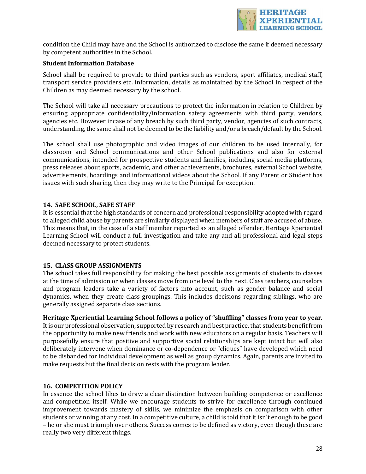

condition the Child may have and the School is authorized to disclose the same if deemed necessary by competent authorities in the School.

#### **Student Information Database**

School shall be required to provide to third parties such as vendors, sport affiliates, medical staff, transport service providers etc. information, details as maintained by the School in respect of the Children as may deemed necessary by the school.

The School will take all necessary precautions to protect the information in relation to Children by ensuring appropriate confidentiality/information safety agreements with third party, vendors, agencies etc. However incase of any breach by such third party, vendor, agencies of such contracts, understanding, the same shall not be deemed to be the liability and/or a breach/default by the School.

The school shall use photographic and video images of our children to be used internally, for classroom and School communications and other School publications and also for external communications, intended for prospective students and families, including social media platforms, press releases about sports, academic, and other achievements, brochures, external School website, advertisements, hoardings and informational videos about the School. If any Parent or Student has issues with such sharing, then they may write to the Principal for exception.

#### 14. SAFE SCHOOL, SAFE STAFF

It is essential that the high standards of concern and professional responsibility adopted with regard to alleged child abuse by parents are similarly displayed when members of staff are accused of abuse. This means that, in the case of a staff member reported as an alleged offender, Heritage Xperiential Learning School will conduct a full investigation and take any and all professional and legal steps deemed necessary to protect students.

#### **15. CLASS GROUP ASSIGNMENTS**

The school takes full responsibility for making the best possible assignments of students to classes at the time of admission or when classes move from one level to the next. Class teachers, counselors and program leaders take a variety of factors into account, such as gender balance and social dynamics, when they create class groupings. This includes decisions regarding siblings, who are generally assigned separate class sections.

Heritage Xperiential Learning School follows a policy of "shuffling" classes from year to year. It is our professional observation, supported by research and best practice, that students benefit from the opportunity to make new friends and work with new educators on a regular basis. Teachers will purposefully ensure that positive and supportive social relationships are kept intact but will also deliberately intervene when dominance or co-dependence or "cliques" have developed which need to be disbanded for individual development as well as group dynamics. Again, parents are invited to make requests but the final decision rests with the program leader.

#### **16. COMPETITION POLICY**

In essence the school likes to draw a clear distinction between building competence or excellence and competition itself. While we encourage students to strive for excellence through continued improvement towards mastery of skills, we minimize the emphasis on comparison with other students or winning at any cost. In a competitive culture, a child is told that it isn't enough to be good – he or she must triumph over others. Success comes to be defined as victory, even though these are really two very different things.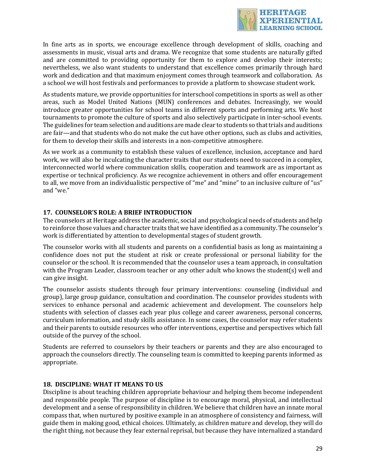

In fine arts as in sports, we encourage excellence through development of skills, coaching and assessments in music, visual arts and drama. We recognize that some students are naturally gifted and are committed to providing opportunity for them to explore and develop their interests; nevertheless, we also want students to understand that excellence comes primarily through hard work and dedication and that maximum enjoyment comes through teamwork and collaboration. As a school we will host festivals and performances to provide a platform to showcase student work.

As students mature, we provide opportunities for interschool competitions in sports as well as other areas, such as Model United Nations (MUN) conferences and debates. Increasingly, we would introduce greater opportunities for school teams in different sports and performing arts. We host tournaments to promote the culture of sports and also selectively participate in inter-school events. The guidelines for team selection and auditions are made clear to students so that trials and auditions are fair—and that students who do not make the cut have other options, such as clubs and activities, for them to develop their skills and interests in a non-competitive atmosphere.

As we work as a community to establish these values of excellence, inclusion, acceptance and hard work, we will also be inculcating the character traits that our students need to succeed in a complex, interconnected world where communication skills, cooperation and teamwork are as important as expertise or technical proficiency. As we recognize achievement in others and offer encouragement to all, we move from an individualistic perspective of "me" and "mine" to an inclusive culture of "us" and "we." 

## **17. COUNSELOR'S ROLE: A BRIEF INTRODUCTION**

The counselors at Heritage address the academic, social and psychological needs of students and help to reinforce those values and character traits that we have identified as a community. The counselor's work is differentiated by attention to developmental stages of student growth.

The counselor works with all students and parents on a confidential basis as long as maintaining a confidence does not put the student at risk or create professional or personal liability for the counselor or the school. It is recommended that the counselor uses a team approach, in consultation with the Program Leader, classroom teacher or any other adult who knows the student(s) well and can give insight.

The counselor assists students through four primary interventions: counseling (individual and group), large group guidance, consultation and coordination. The counselor provides students with services to enhance personal and academic achievement and development. The counselors help students with selection of classes each year plus college and career awareness, personal concerns, curriculum information, and study skills assistance. In some cases, the counselor may refer students and their parents to outside resources who offer interventions, expertise and perspectives which fall outside of the purvey of the school.

Students are referred to counselors by their teachers or parents and they are also encouraged to approach the counselors directly. The counseling team is committed to keeping parents informed as appropriate.

#### **18. DISCIPLINE: WHAT IT MEANS TO US**

Discipline is about teaching children appropriate behaviour and helping them become independent and responsible people. The purpose of discipline is to encourage moral, physical, and intellectual development and a sense of responsibility in children. We believe that children have an innate moral compass that, when nurtured by positive example in an atmosphere of consistency and fairness, will guide them in making good, ethical choices. Ultimately, as children mature and develop, they will do the right thing, not because they fear external reprisal, but because they have internalized a standard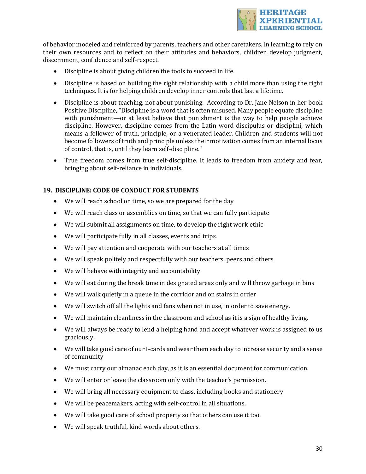

of behavior modeled and reinforced by parents, teachers and other caretakers. In learning to rely on their own resources and to reflect on their attitudes and behaviors, children develop judgment, discernment, confidence and self-respect.

- Discipline is about giving children the tools to succeed in life.
- Discipline is based on building the right relationship with a child more than using the right techniques. It is for helping children develop inner controls that last a lifetime.
- Discipline is about teaching, not about punishing. According to Dr. Jane Nelson in her book Positive Discipline, "Discipline is a word that is often misused. Many people equate discipline with punishment—or at least believe that punishment is the way to help people achieve discipline. However, discipline comes from the Latin word discipulus or disciplini, which means a follower of truth, principle, or a venerated leader. Children and students will not become followers of truth and principle unless their motivation comes from an internal locus of control, that is, until they learn self-discipline."
- True freedom comes from true self-discipline. It leads to freedom from anxiety and fear, bringing about self-reliance in individuals.

## **19. DISCIPLINE: CODE OF CONDUCT FOR STUDENTS**

- We will reach school on time, so we are prepared for the day
- We will reach class or assemblies on time, so that we can fully participate
- We will submit all assignments on time, to develop the right work ethic
- We will participate fully in all classes, events and trips.
- We will pay attention and cooperate with our teachers at all times
- We will speak politely and respectfully with our teachers, peers and others
- We will behave with integrity and accountability
- We will eat during the break time in designated areas only and will throw garbage in bins
- We will walk quietly in a queue in the corridor and on stairs in order
- We will switch off all the lights and fans when not in use, in order to save energy.
- We will maintain cleanliness in the classroom and school as it is a sign of healthy living.
- We will always be ready to lend a helping hand and accept whatever work is assigned to us graciously.
- We will take good care of our I-cards and wear them each day to increase security and a sense of community
- We must carry our almanac each day, as it is an essential document for communication.
- We will enter or leave the classroom only with the teacher's permission.
- We will bring all necessary equipment to class, including books and stationery
- We will be peacemakers, acting with self-control in all situations.
- We will take good care of school property so that others can use it too.
- We will speak truthful, kind words about others.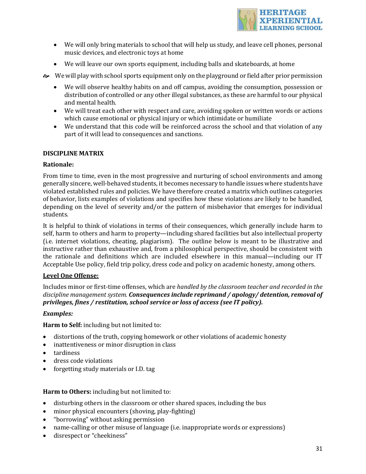

- We will only bring materials to school that will help us study, and leave cell phones, personal music devices, and electronic toys at home
- We will leave our own sports equipment, including balls and skateboards, at home
- o We will play with school sports equipment only on the playground or field after prior permission
	- We will observe healthy habits on and off campus, avoiding the consumption, possession or distribution of controlled or any other illegal substances, as these are harmful to our physical and mental health.
	- We will treat each other with respect and care, avoiding spoken or written words or actions which cause emotional or physical injury or which intimidate or humiliate
	- We understand that this code will be reinforced across the school and that violation of any part of it will lead to consequences and sanctions.

#### **DISCIPLINE MATRIX**

#### **Rationale:**

From time to time, even in the most progressive and nurturing of school environments and among generally sincere, well-behaved students, it becomes necessary to handle issues where students have violated established rules and policies. We have therefore created a matrix which outlines categories of behavior, lists examples of violations and specifies how these violations are likely to be handled, depending on the level of severity and/or the pattern of misbehavior that emerges for individual students.

It is helpful to think of violations in terms of their consequences, which generally include harm to self, harm to others and harm to property—including shared facilities but also intellectual property (i.e. internet violations, cheating, plagiarism). The outline below is meant to be illustrative and instructive rather than exhaustive and, from a philosophical perspective, should be consistent with the rationale and definitions which are included elsewhere in this manual—including our IT Acceptable Use policy, field trip policy, dress code and policy on academic honesty, among others.

#### **Level One Offense:**

Includes minor or first-time offenses, which are *handled by the classroom teacher and recorded in the* discipline management system. **Consequences include reprimand / apology/ detention, removal of** *privileges, fines / restitution, school service or loss of access (see IT policy).* 

#### *Examples:*

**Harm to Self:** including but not limited to:

- distortions of the truth, copying homework or other violations of academic honesty
- inattentiveness or minor disruption in class
- tardiness
- dress code violations
- forgetting study materials or I.D. tag

**Harm to Others:** including but not limited to:

- disturbing others in the classroom or other shared spaces, including the bus
- minor physical encounters (shoving, play-fighting)
- "borrowing" without asking permission
- name-calling or other misuse of language (i.e. inappropriate words or expressions)
- disrespect or "cheekiness"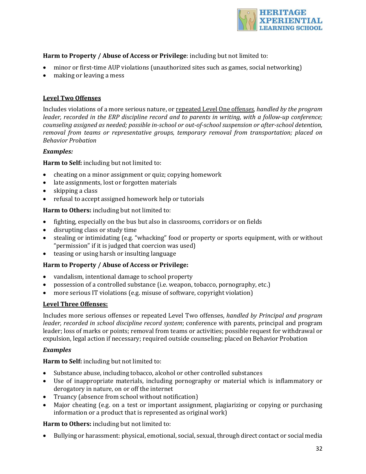

## **Harm to Property / Abuse of Access or Privilege:** including but not limited to:

- minor or first-time AUP violations (unauthorized sites such as games, social networking)
- making or leaving a mess

## **Level Two Offenses**

Includes violations of a more serious nature, or repeated Level One offenses, handled by the program *leader, recorded in the ERP discipline record and to parents in writing, with a follow-up conference; counseling assigned as needed; possible in-school or out-of-school suspension or after-school detention, removal from teams or representative groups, temporary removal from transportation; placed on Behavior Probation*

#### *Examples:*

**Harm to Self:** including but not limited to:

- cheating on a minor assignment or quiz; copying homework
- late assignments, lost or forgotten materials
- $\bullet$  skipping a class
- refusal to accept assigned homework help or tutorials

**Harm to Others:** including but not limited to:

- fighting, especially on the bus but also in classrooms, corridors or on fields
- disrupting class or study time
- stealing or intimidating (e.g. "whacking" food or property or sports equipment, with or without "permission" if it is judged that coercion was used)
- teasing or using harsh or insulting language

## Harm to Property / Abuse of Access or Privilege:

- vandalism, intentional damage to school property
- possession of a controlled substance (i.e. weapon, tobacco, pornography, etc.)
- more serious IT violations (e.g. misuse of software, copyright violation)

#### **Level Three Offenses:**

Includes more serious offenses or repeated Level Two offenses, *handled by Principal and program leader, recorded in school discipline record system;* conference with parents, principal and program leader; loss of marks or points; removal from teams or activities; possible request for withdrawal or expulsion, legal action if necessary; required outside counseling; placed on Behavior Probation

#### *Examples*

**Harm to Self:** including but not limited to:

- Substance abuse, including tobacco, alcohol or other controlled substances
- Use of inappropriate materials, including pornography or material which is inflammatory or derogatory in nature, on or off the internet
- Truancy (absence from school without notification)
- Major cheating (e.g. on a test or important assignment, plagiarizing or copying or purchasing information or a product that is represented as original work)

Harm to Others: including but not limited to:

• Bullying or harassment: physical, emotional, social, sexual, through direct contact or social media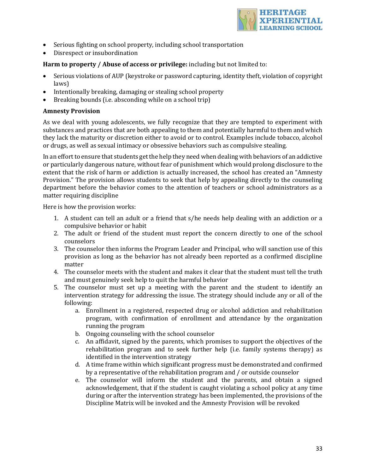

- Serious fighting on school property, including school transportation
- Disrespect or insubordination

## **Harm to property / Abuse of access or privilege:** including but not limited to:

- Serious violations of AUP (keystroke or password capturing, identity theft, violation of copyright laws)
- Intentionally breaking, damaging or stealing school property
- Breaking bounds (i.e. absconding while on a school trip)

## **Amnesty Provision**

As we deal with young adolescents, we fully recognize that they are tempted to experiment with substances and practices that are both appealing to them and potentially harmful to them and which they lack the maturity or discretion either to avoid or to control. Examples include tobacco, alcohol or drugs, as well as sexual intimacy or obsessive behaviors such as compulsive stealing.

In an effort to ensure that students get the help they need when dealing with behaviors of an addictive or particularly dangerous nature, without fear of punishment which would prolong disclosure to the extent that the risk of harm or addiction is actually increased, the school has created an "Amnesty Provision." The provision allows students to seek that help by appealing directly to the counseling department before the behavior comes to the attention of teachers or school administrators as a matter requiring discipline

Here is how the provision works:

- 1. A student can tell an adult or a friend that  $s/he$  needs help dealing with an addiction or a compulsive behavior or habit
- 2. The adult or friend of the student must report the concern directly to one of the school counselors
- 3. The counselor then informs the Program Leader and Principal, who will sanction use of this provision as long as the behavior has not already been reported as a confirmed discipline matter
- 4. The counselor meets with the student and makes it clear that the student must tell the truth and must genuinely seek help to quit the harmful behavior
- 5. The counselor must set up a meeting with the parent and the student to identify an intervention strategy for addressing the issue. The strategy should include any or all of the following:
	- a. Enrollment in a registered, respected drug or alcohol addiction and rehabilitation program, with confirmation of enrollment and attendance by the organization running the program
	- b. Ongoing counseling with the school counselor
	- c. An affidavit, signed by the parents, which promises to support the objectives of the rehabilitation program and to seek further help (i.e. family systems therapy) as identified in the intervention strategy
	- d. A time frame within which significant progress must be demonstrated and confirmed by a representative of the rehabilitation program and / or outside counselor
	- e. The counselor will inform the student and the parents, and obtain a signed acknowledgement, that if the student is caught violating a school policy at any time during or after the intervention strategy has been implemented, the provisions of the Discipline Matrix will be invoked and the Amnesty Provision will be revoked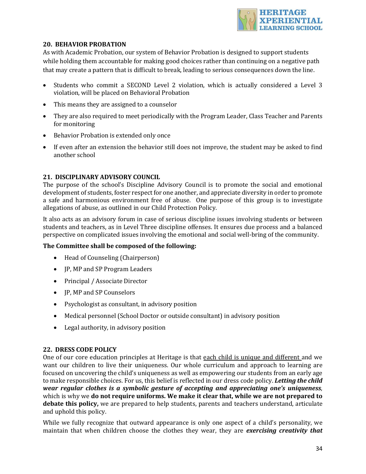

## **20. BEHAVIOR PROBATION**

As with Academic Probation, our system of Behavior Probation is designed to support students while holding them accountable for making good choices rather than continuing on a negative path that may create a pattern that is difficult to break, leading to serious consequences down the line.

- Students who commit a SECOND Level 2 violation, which is actually considered a Level 3 violation, will be placed on Behavioral Probation
- This means they are assigned to a counselor
- They are also required to meet periodically with the Program Leader, Class Teacher and Parents for monitoring
- Behavior Probation is extended only once
- If even after an extension the behavior still does not improve, the student may be asked to find another school

#### **21. DISCIPLINARY ADVISORY COUNCIL**

The purpose of the school's Discipline Advisory Council is to promote the social and emotional development of students, foster respect for one another, and appreciate diversity in order to promote a safe and harmonious environment free of abuse. One purpose of this group is to investigate allegations of abuse, as outlined in our Child Protection Policy.

It also acts as an advisory forum in case of serious discipline issues involving students or between students and teachers, as in Level Three discipline offenses. It ensures due process and a balanced perspective on complicated issues involving the emotional and social well-bring of the community.

## The Committee shall be composed of the following:

- Head of Counseling (Chairperson)
- JP, MP and SP Program Leaders
- Principal / Associate Director
- JP, MP and SP Counselors
- Psychologist as consultant, in advisory position
- Medical personnel (School Doctor or outside consultant) in advisory position
- Legal authority, in advisory position

#### **22. DRESS CODE POLICY**

One of our core education principles at Heritage is that each child is unique and different and we want our children to live their uniqueness. Our whole curriculum and approach to learning are focused on uncovering the child's uniqueness as well as empowering our students from an early age to make responsible choices. For us, this belief is reflected in our dress code policy. Letting the child *wear regular clothes is a symbolic gesture of accepting and appreciating one's uniqueness,* which is why we **do not require uniforms. We make it clear that, while we are not prepared to** debate this policy, we are prepared to help students, parents and teachers understand, articulate and uphold this policy.

While we fully recognize that outward appearance is only one aspect of a child's personality, we maintain that when children choose the clothes they wear, they are *exercising creativity that*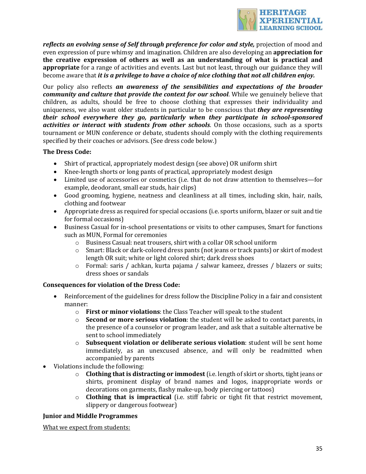

reflects an evolving sense of Self through preference for color and style, projection of mood and even expression of pure whimsy and imagination. Children are also developing an **appreciation for** the creative expression of others as well as an understanding of what is practical and **appropriate** for a range of activities and events. Last but not least, through our guidance they will become aware that *it is a privilege to have a choice of nice clothing that not all children enjoy.* 

Our policy also reflects an awareness of the sensibilities and expectations of the broader *community* and culture that provide the context for our school. While we genuinely believe that children, as adults, should be free to choose clothing that expresses their individuality and uniqueness, we also want older students in particular to be conscious that *they are representing their school everywhere they go, particularly when they participate in school-sponsored activities or interact with students from other schools*. On those occasions, such as a sports tournament or MUN conference or debate, students should comply with the clothing requirements specified by their coaches or advisors. (See dress code below.)

#### **The Dress Code:**

- Shirt of practical, appropriately modest design (see above) OR uniform shirt
- Knee-length shorts or long pants of practical, appropriately modest design
- Limited use of accessories or cosmetics (i.e. that do not draw attention to themselves—for example, deodorant, small ear studs, hair clips)
- Good grooming, hygiene, neatness and cleanliness at all times, including skin, hair, nails, clothing and footwear
- Appropriate dress as required for special occasions (i.e. sports uniform, blazer or suit and tie for formal occasions)
- Business Casual for in-school presentations or visits to other campuses, Smart for functions such as MUN. Formal for ceremonies
	- $\circ$  Business Casual: neat trousers, shirt with a collar OR school uniform
	- o Smart: Black or dark-colored dress pants (not jeans or track pants) or skirt of modest length OR suit; white or light colored shirt; dark dress shoes
	- $\circ$  Formal: saris / achkan, kurta pajama / salwar kameez, dresses / blazers or suits; dress shoes or sandals

## **Consequences for violation of the Dress Code:**

- Reinforcement of the guidelines for dress follow the Discipline Policy in a fair and consistent manner:
	- o **First or minor violations**: the Class Teacher will speak to the student
	- $\circ$  **Second or more serious violation**: the student will be asked to contact parents, in the presence of a counselor or program leader, and ask that a suitable alternative be sent to school immediately
	- o **Subsequent violation or deliberate serious violation**: student will be sent home immediately, as an unexcused absence, and will only be readmitted when accompanied by parents
- Violations include the following:
	- $\circ$  **Clothing that is distracting or immodest** (i.e. length of skirt or shorts, tight jeans or shirts, prominent display of brand names and logos, inappropriate words or decorations on garments, flashy make-up, body piercing or tattoos)
	- o **Clothing that is impractical** (i.e. stiff fabric or tight fit that restrict movement, slippery or dangerous footwear)

#### **Junior and Middle Programmes**

What we expect from students: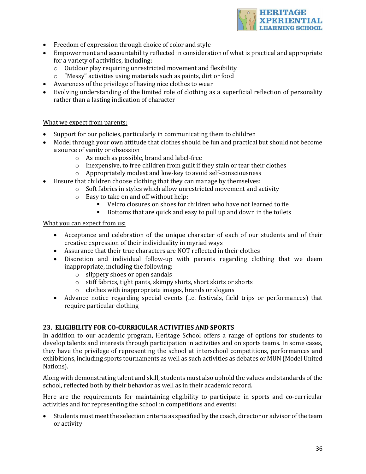

- Freedom of expression through choice of color and style
- Empowerment and accountability reflected in consideration of what is practical and appropriate for a variety of activities, including:
	- $\circ$  Outdoor play requiring unrestricted movement and flexibility
	- $\circ$  "Messy" activities using materials such as paints, dirt or food
- Awareness of the privilege of having nice clothes to wear
- Evolving understanding of the limited role of clothing as a superficial reflection of personality rather than a lasting indication of character

#### What we expect from parents:

- Support for our policies, particularly in communicating them to children
- Model through your own attitude that clothes should be fun and practical but should not become a source of vanity or obsession
	- $\circ$  As much as possible, brand and label-free
	- $\circ$  Inexpensive, to free children from guilt if they stain or tear their clothes
	- $\circ$  Appropriately modest and low-key to avoid self-consciousness
- Ensure that children choose clothing that they can manage by themselves:
	- $\circ$  Soft fabrics in styles which allow unrestricted movement and activity
	- $\circ$  Easy to take on and off without help:
		- Velcro closures on shoes for children who have not learned to tie
		- Bottoms that are quick and easy to pull up and down in the toilets

#### What you can expect from us:

- Acceptance and celebration of the unique character of each of our students and of their creative expression of their individuality in myriad ways
- Assurance that their true characters are NOT reflected in their clothes
- Discretion and individual follow-up with parents regarding clothing that we deem inappropriate, including the following:
	- $\circ$  slippery shoes or open sandals
	- $\circ$  stiff fabrics, tight pants, skimpy shirts, short skirts or shorts
	- $\circ$  clothes with inappropriate images, brands or slogans
- Advance notice regarding special events (i.e. festivals, field trips or performances) that require particular clothing

## **23. ELIGIBILITY FOR CO-CURRICULAR ACTIVITIES AND SPORTS**

In addition to our academic program, Heritage School offers a range of options for students to develop talents and interests through participation in activities and on sports teams. In some cases, they have the privilege of representing the school at interschool competitions, performances and exhibitions, including sports tournaments as well as such activities as debates or MUN (Model United Nations).

Along with demonstrating talent and skill, students must also uphold the values and standards of the school, reflected both by their behavior as well as in their academic record.

Here are the requirements for maintaining eligibility to participate in sports and co-curricular activities and for representing the school in competitions and events:

Students must meet the selection criteria as specified by the coach, director or advisor of the team or activity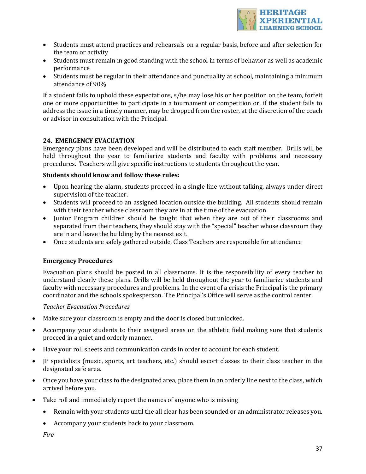

- Students must attend practices and rehearsals on a regular basis, before and after selection for the team or activity
- Students must remain in good standing with the school in terms of behavior as well as academic performance
- Students must be regular in their attendance and punctuality at school, maintaining a minimum attendance of 90%

If a student fails to uphold these expectations, s/he may lose his or her position on the team, forfeit one or more opportunities to participate in a tournament or competition or, if the student fails to address the issue in a timely manner, may be dropped from the roster, at the discretion of the coach or advisor in consultation with the Principal.

#### **24. EMERGENCY EVACUATION**

Emergency plans have been developed and will be distributed to each staff member. Drills will be held throughout the year to familiarize students and faculty with problems and necessary procedures. Teachers will give specific instructions to students throughout the year.

#### **Students should know and follow these rules:**

- Upon hearing the alarm, students proceed in a single line without talking, always under direct supervision of the teacher.
- Students will proceed to an assigned location outside the building. All students should remain with their teacher whose classroom they are in at the time of the evacuation.
- Junior Program children should be taught that when they are out of their classrooms and separated from their teachers, they should stay with the "special" teacher whose classroom they are in and leave the building by the nearest exit.
- Once students are safely gathered outside, Class Teachers are responsible for attendance

#### **Emergency Procedures**

Evacuation plans should be posted in all classrooms. It is the responsibility of every teacher to understand clearly these plans. Drills will be held throughout the year to familiarize students and faculty with necessary procedures and problems. In the event of a crisis the Principal is the primary coordinator and the schools spokesperson. The Principal's Office will serve as the control center.

#### **Teacher Evacuation Procedures**

- Make sure your classroom is empty and the door is closed but unlocked.
- Accompany your students to their assigned areas on the athletic field making sure that students proceed in a quiet and orderly manner.
- Have your roll sheets and communication cards in order to account for each student.
- JP specialists (music, sports, art teachers, etc.) should escort classes to their class teacher in the designated safe area.
- Once you have your class to the designated area, place them in an orderly line next to the class, which arrived before you.
- Take roll and immediately report the names of anyone who is missing
	- Remain with your students until the all clear has been sounded or an administrator releases you.
	- Accompany your students back to your classroom.

*Fire*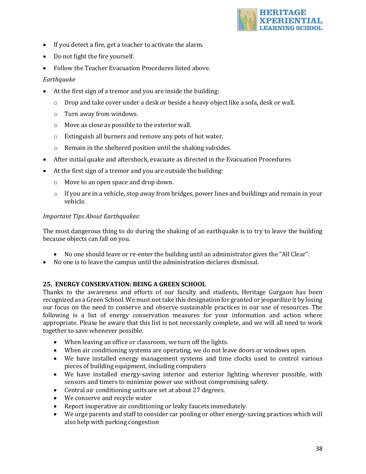

- If you detect a fire, get a teacher to activate the alarm.
- Do not fight the fire yourself.
- Follow the Teacher Evacuation Procedures listed above.

## *Earthquake*

- At the first sign of a tremor and you are inside the building:
	- $\circ$  Drop and take cover under a desk or beside a heavy object like a sofa, desk or wall.
	- $\circ$  Turn away from windows.
	- $\circ$  Move as close as possible to the exterior wall.
	- $\circ$  Extinguish all burners and remove any pots of hot water.
	- $\circ$  Remain in the sheltered position until the shaking subsides.
- After initial quake and aftershock, evacuate as directed in the Evacuation Procedures
- At the first sign of a tremor and you are outside the building:
	- $\circ$  Move to an open space and drop down.
	- $\circ$  If you are in a vehicle, stop away from bridges, power lines and buildings and remain in your vehicle.

#### *Important Tips About Earthquakes:*

The most dangerous thing to do during the shaking of an earthquake is to try to leave the building because objects can fall on you.

- No one should leave or re-enter the building until an administrator gives the "All Clear".
- No one is to leave the campus until the administration declares dismissal.

#### **25. ENERGY CONSERVATION: BEING A GREEN SCHOOL**

Thanks to the awareness and efforts of our faculty and students, Heritage Gurgaon has been recognized as a Green School. We must not take this designation for granted or jeopardize it by losing our focus on the need to conserve and observe sustainable practices in our use of resources. The following is a list of energy conservation measures for your information and action where appropriate. Please be aware that this list is not necessarily complete, and we will all need to work together to save whenever possible.

- When leaving an office or classroom, we turn off the lights.
- When air conditioning systems are operating, we do not leave doors or windows open.
- We have installed energy management systems and time clocks used to control various pieces of building equipment, including computers
- We have installed energy-saving interior and exterior lighting wherever possible, with sensors and timers to minimize power use without compromising safety.
- Central air conditioning units are set at about 27 degrees.
- We conserve and recycle water
- Report inoperative air conditioning or leaky faucets immediately.
- We urge parents and staff to consider car pooling or other energy-saving practices which will also help with parking congestion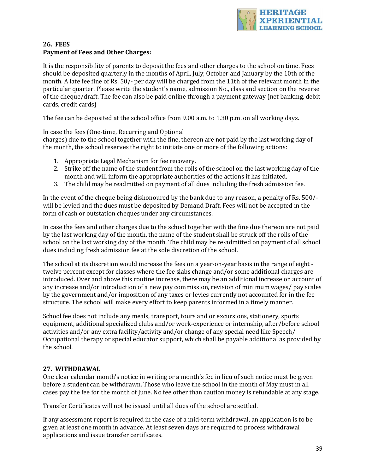

## **26. FEES Payment of Fees and Other Charges:**

It is the responsibility of parents to deposit the fees and other charges to the school on time. Fees should be deposited quarterly in the months of April, July, October and January by the 10th of the month. A late fee fine of Rs. 50/- per day will be charged from the 11th of the relevant month in the particular quarter. Please write the student's name, admission No., class and section on the reverse of the cheque/draft. The fee can also be paid online through a payment gateway (net banking, debit cards, credit cards)

The fee can be deposited at the school office from  $9.00$  a.m. to  $1.30$  p.m. on all working days.

In case the fees (One-time, Recurring and Optional

charges) due to the school together with the fine, thereon are not paid by the last working day of the month, the school reserves the right to initiate one or more of the following actions:

- 1. Appropriate Legal Mechanism for fee recovery.
- 2. Strike off the name of the student from the rolls of the school on the last working day of the month and will inform the appropriate authorities of the actions it has initiated.
- 3. The child may be readmitted on payment of all dues including the fresh admission fee.

In the event of the cheque being dishonoured by the bank due to any reason, a penalty of Rs. 500/will be levied and the dues must be deposited by Demand Draft. Fees will not be accepted in the form of cash or outstation cheques under any circumstances.

In case the fees and other charges due to the school together with the fine due thereon are not paid by the last working day of the month, the name of the student shall be struck off the rolls of the school on the last working day of the month. The child may be re-admitted on payment of all school dues including fresh admission fee at the sole discretion of the school.

The school at its discretion would increase the fees on a year-on-year basis in the range of eight twelve percent except for classes where the fee slabs change and/or some additional charges are introduced. Over and above this routine increase, there may be an additional increase on account of any increase and/or introduction of a new pay commission, revision of minimum wages/ pay scales by the government and/or imposition of any taxes or levies currently not accounted for in the fee structure. The school will make every effort to keep parents informed in a timely manner.

School fee does not include any meals, transport, tours and or excursions, stationery, sports equipment, additional specialized clubs and/or work-experience or internship, after/before school activities and/or any extra facility/activity and/or change of any special need like Speech/ Occupational therapy or special educator support, which shall be payable additional as provided by the school.

## 27. WITHDRAWAL

One clear calendar month's notice in writing or a month's fee in lieu of such notice must be given before a student can be withdrawn. Those who leave the school in the month of May must in all cases pay the fee for the month of June. No fee other than caution money is refundable at any stage.

Transfer Certificates will not be issued until all dues of the school are settled.

If any assessment report is required in the case of a mid-term withdrawal, an application is to be given at least one month in advance. At least seven days are required to process withdrawal applications and issue transfer certificates.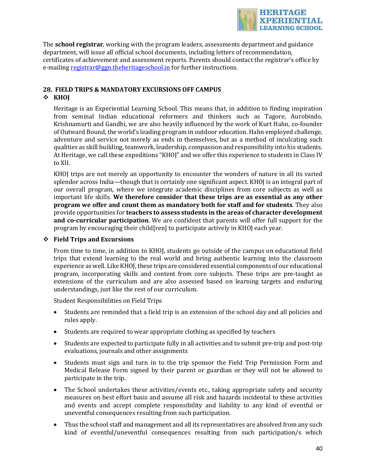

The **school registrar**, working with the program leaders, assessments department and guidance department, will issue all official school documents, including letters of recommendation, certificates of achievement and assessment reports. Parents should contact the registrar's office by e-mailing registrar@ggn.theheritageschool.in for further instructions.

#### **28. FIELD TRIPS & MANDATORY EXCURSIONS OFF CAMPUS** v **KHOJ**

Heritage is an Experiential Learning School. This means that, in addition to finding inspiration from seminal Indian educational reformers and thinkers such as Tagore, Aurobindo, Krishnamurti and Gandhi, we are also heavily influenced by the work of Kurt Hahn, co-founder of Outward Bound, the world's leading program in outdoor education. Hahn employed challenge, adventure and service not merely as ends in themselves, but as a method of inculcating such qualities as skill building, teamwork, leadership, compassion and responsibility into his students. At Heritage, we call these expeditions "KHOJ" and we offer this experience to students in Class IV to XII.

KHOJ trips are not merely an opportunity to encounter the wonders of nature in all its varied splendor across India—though that is certainly one significant aspect. KHOJ is an integral part of our overall program, where we integrate academic disciplines from core subjects as well as important life skills. We therefore consider that these trips are as essential as any other **program** we offer and count them as mandatory both for staff and for students. They also provide opportunities for **teachers to assess students in the areas of character development and co-curricular participation**. We are confident that parents will offer full support for the program by encouraging their child  $[ren]$  to participate actively in KHOJ each year.

## v **Field Trips and Excursions**

From time to time, in addition to KHOJ, students go outside of the campus on educational field trips that extend learning to the real world and bring authentic learning into the classroom experience as well. Like KHOJ, these trips are considered essential components of our educational program, incorporating skills and content from core subjects. These trips are pre-taught as extensions of the curriculum and are also assessed based on learning targets and enduring understandings, just like the rest of our curriculum.

Student Responsibilities on Field Trips

- Students are reminded that a field trip is an extension of the school day and all policies and rules apply.
- Students are required to wear appropriate clothing as specified by teachers
- Students are expected to participate fully in all activities and to submit pre-trip and post-trip evaluations, journals and other assignments
- Students must sign and turn in to the trip sponsor the Field Trip Permission Form and Medical Release Form signed by their parent or guardian or they will not be allowed to participate in the trip.
- The School undertakes these activities/events etc., taking appropriate safety and security measures on best effort basis and assume all risk and hazards incidental to these activities and events and accept complete responsibility and liability to any kind of eventful or uneventful consequences resulting from such participation.
- Thus the school staff and management and all its representatives are absolved from any such kind of eventful/uneventful consequences resulting from such participation/s which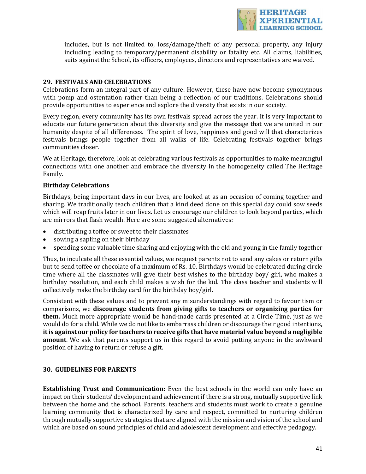

includes, but is not limited to, loss/damage/theft of any personal property, any injury including leading to temporary/permanent disability or fatality etc. All claims, liabilities, suits against the School, its officers, employees, directors and representatives are waived.

## **29. FESTIVALS AND CELEBRATIONS**

Celebrations form an integral part of any culture. However, these have now become synonymous with pomp and ostentation rather than being a reflection of our traditions. Celebrations should provide opportunities to experience and explore the diversity that exists in our society.

Every region, every community has its own festivals spread across the year. It is very important to educate our future generation about this diversity and give the message that we are united in our humanity despite of all differences. The spirit of love, happiness and good will that characterizes festivals brings people together from all walks of life. Celebrating festivals together brings communities closer. 

We at Heritage, therefore, look at celebrating various festivals as opportunities to make meaningful connections with one another and embrace the diversity in the homogeneity called The Heritage Family.

#### **Birthday Celebrations**

Birthdays, being important days in our lives, are looked at as an occasion of coming together and sharing. We traditionally teach children that a kind deed done on this special day could sow seeds which will reap fruits later in our lives. Let us encourage our children to look beyond parties, which are mirrors that flash wealth. Here are some suggested alternatives:

- distributing a toffee or sweet to their classmates
- sowing a sapling on their birthday
- spending some valuable time sharing and enjoving with the old and young in the family together

Thus, to inculcate all these essential values, we request parents not to send any cakes or return gifts but to send toffee or chocolate of a maximum of Rs. 10. Birthdays would be celebrated during circle time where all the classmates will give their best wishes to the birthday boy/ girl, who makes a birthday resolution, and each child makes a wish for the kid. The class teacher and students will collectively make the birthday card for the birthday boy/girl.

Consistent with these values and to prevent any misunderstandings with regard to favouritism or comparisons, we discourage students from giving gifts to teachers or organizing parties for **them.** Much more appropriate would be hand-made cards presented at a Circle Time, just as we would do for a child. While we do not like to embarrass children or discourage their good intentions, it is against our policy for teachers to receive gifts that have material value beyond a negligible **amount**. We ask that parents support us in this regard to avoid putting anyone in the awkward position of having to return or refuse a gift.

#### **30. GUIDELINES FOR PARENTS**

**Establishing Trust and Communication:** Even the best schools in the world can only have an impact on their students' development and achievement if there is a strong, mutually supportive link between the home and the school. Parents, teachers and students must work to create a genuine learning community that is characterized by care and respect, committed to nurturing children through mutually supportive strategies that are aligned with the mission and vision of the school and which are based on sound principles of child and adolescent development and effective pedagogy.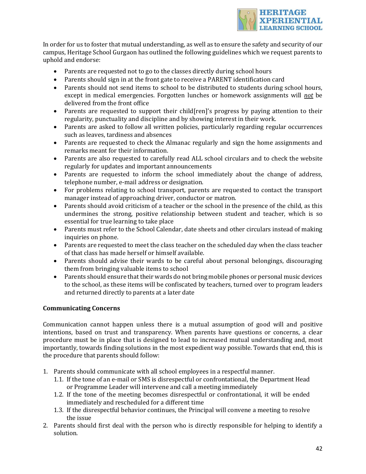

In order for us to foster that mutual understanding, as well as to ensure the safety and security of our campus, Heritage School Gurgaon has outlined the following guidelines which we request parents to uphold and endorse:

- Parents are requested not to go to the classes directly during school hours
- Parents should sign in at the front gate to receive a PARENT identification card
- Parents should not send items to school to be distributed to students during school hours, except in medical emergencies. Forgotten lunches or homework assignments will *not* be delivered from the front office
- Parents are requested to support their child[ren]'s progress by paying attention to their regularity, punctuality and discipline and by showing interest in their work.
- Parents are asked to follow all written policies, particularly regarding regular occurrences such as leaves, tardiness and absences
- Parents are requested to check the Almanac regularly and sign the home assignments and remarks meant for their information.
- Parents are also requested to carefully read ALL school circulars and to check the website regularly for updates and important announcements
- Parents are requested to inform the school immediately about the change of address, telephone number, e-mail address or designation.
- For problems relating to school transport, parents are requested to contact the transport manager instead of approaching driver, conductor or matron.
- Parents should avoid criticism of a teacher or the school in the presence of the child, as this undermines the strong, positive relationship between student and teacher, which is so essential for true learning to take place
- Parents must refer to the School Calendar, date sheets and other circulars instead of making inquiries on phone.
- Parents are requested to meet the class teacher on the scheduled day when the class teacher of that class has made herself or himself available.
- Parents should advise their wards to be careful about personal belongings, discouraging them from bringing valuable items to school
- Parents should ensure that their wards do not bring mobile phones or personal music devices to the school, as these items will be confiscated by teachers, turned over to program leaders and returned directly to parents at a later date

## **Communicating Concerns**

Communication cannot happen unless there is a mutual assumption of good will and positive intentions, based on trust and transparency. When parents have questions or concerns, a clear procedure must be in place that is designed to lead to increased mutual understanding and. most importantly, towards finding solutions in the most expedient way possible. Towards that end, this is the procedure that parents should follow:

- 1. Parents should communicate with all school employees in a respectful manner.
	- 1.1. If the tone of an e-mail or SMS is disrespectful or confrontational, the Department Head or Programme Leader will intervene and call a meeting immediately
	- 1.2. If the tone of the meeting becomes disrespectful or confrontational, it will be ended immediately and rescheduled for a different time
	- 1.3. If the disrespectful behavior continues, the Principal will convene a meeting to resolve the issue
- 2. Parents should first deal with the person who is directly responsible for helping to identify a solution.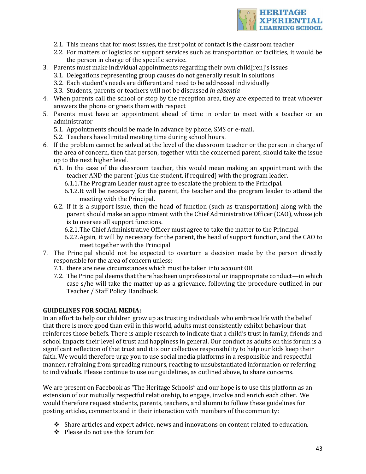

- 2.1. This means that for most issues, the first point of contact is the classroom teacher
- 2.2. For matters of logistics or support services such as transportation or facilities, it would be the person in charge of the specific service.
- 3. Parents must make individual appointments regarding their own child [ren]'s issues
	- 3.1. Delegations representing group causes do not generally result in solutions
	- 3.2. Each student's needs are different and need to be addressed individually
	- 3.3. Students, parents or teachers will not be discussed *in absentia*
- 4. When parents call the school or stop by the reception area, they are expected to treat whoever answers the phone or greets them with respect
- 5. Parents must have an appointment ahead of time in order to meet with a teacher or an administrator
	- 5.1. Appointments should be made in advance by phone, SMS or e-mail.
	- 5.2. Teachers have limited meeting time during school hours.
- 6. If the problem cannot be solved at the level of the classroom teacher or the person in charge of the area of concern, then that person, together with the concerned parent, should take the issue up to the next higher level.
	- 6.1. In the case of the classroom teacher, this would mean making an appointment with the teacher AND the parent (plus the student, if required) with the program leader.
		- 6.1.1. The Program Leader must agree to escalate the problem to the Principal.
		- 6.1.2.It will be necessary for the parent, the teacher and the program leader to attend the meeting with the Principal.
	- 6.2. If it is a support issue, then the head of function (such as transportation) along with the parent should make an appointment with the Chief Administrative Officer (CAO), whose job is to oversee all support functions.
		- 6.2.1. The Chief Administrative Officer must agree to take the matter to the Principal
		- 6.2.2.Again, it will by necessary for the parent, the head of support function, and the CAO to meet together with the Principal
- 7. The Principal should not be expected to overturn a decision made by the person directly responsible for the area of concern unless:
	- 7.1. there are new circumstances which must be taken into account OR
	- 7.2. The Principal deems that there has been unprofessional or inappropriate conduct—in which case s/he will take the matter up as a grievance, following the procedure outlined in our Teacher / Staff Policy Handbook.

#### **GUIDELINES FOR SOCIAL MEDIA:**

In an effort to help our children grow up as trusting individuals who embrace life with the belief that there is more good than evil in this world, adults must consistently exhibit behaviour that reinforces those beliefs. There is ample research to indicate that a child's trust in family, friends and school impacts their level of trust and happiness in general. Our conduct as adults on this forum is a significant reflection of that trust and it is our collective responsibility to help our kids keep their faith. We would therefore urge you to use social media platforms in a responsible and respectful manner, refraining from spreading rumours, reacting to unsubstantiated information or referring to individuals. Please continue to use our guidelines, as outlined above, to share concerns.

We are present on Facebook as "The Heritage Schools" and our hope is to use this platform as an extension of our mutually respectful relationship, to engage, involve and enrich each other. We would therefore request students, parents, teachers, and alumni to follow these guidelines for posting articles, comments and in their interaction with members of the community:

- $\cdot$  Share articles and expert advice, news and innovations on content related to education.
- $\div$  Please do not use this forum for: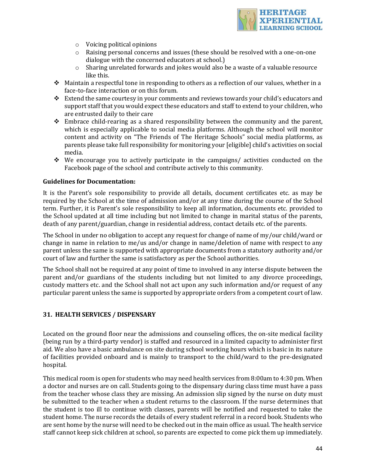

- $\circ$  Voicing political opinions
- $\circ$  Raising personal concerns and issues (these should be resolved with a one-on-one dialogue with the concerned educators at school.)
- $\circ$  Sharing unrelated forwards and jokes would also be a waste of a valuable resource like this.
- $\cdot$  Maintain a respectful tone in responding to others as a reflection of our values, whether in a face-to-face interaction or on this forum.
- $\cdot$  Extend the same courtesy in your comments and reviews towards your child's educators and support staff that you would expect these educators and staff to extend to your children, who are entrusted daily to their care
- $\div$  Embrace child-rearing as a shared responsibility between the community and the parent, which is especially applicable to social media platforms. Although the school will monitor content and activity on "The Friends of The Heritage Schools" social media platforms, as parents please take full responsibility for monitoring your [eligible] child's activities on social media.
- We encourage you to actively participate in the campaigns/ activities conducted on the Facebook page of the school and contribute actively to this community.

#### **Guidelines for Documentation:**

It is the Parent's sole responsibility to provide all details, document certificates etc. as may be required by the School at the time of admission and/or at any time during the course of the School term. Further, it is Parent's sole responsibility to keep all information, documents etc. provided to the School updated at all time including but not limited to change in marital status of the parents, death of any parent/guardian, change in residential address, contact details etc. of the parents.

The School in under no obligation to accept any request for change of name of my/our child/ward or change in name in relation to me/us and/or change in name/deletion of name with respect to any parent unless the same is supported with appropriate documents from a statutory authority and/or court of law and further the same is satisfactory as per the School authorities.

The School shall not be required at any point of time to involved in any interse dispute between the parent and/or guardians of the students including but not limited to any divorce proceedings, custody matters etc. and the School shall not act upon any such information and/or request of any particular parent unless the same is supported by appropriate orders from a competent court of law.

#### **31. HEALTH SERVICES / DISPENSARY**

Located on the ground floor near the admissions and counseling offices, the on-site medical facility (being run by a third-party vendor) is staffed and resourced in a limited capacity to administer first aid. We also have a basic ambulance on site during school working hours which is basic in its nature of facilities provided onboard and is mainly to transport to the child/ward to the pre-designated hospital.

This medical room is open for students who may need health services from 8:00am to 4:30 pm. When a doctor and nurses are on call. Students going to the dispensary during class time must have a pass from the teacher whose class they are missing. An admission slip signed by the nurse on duty must be submitted to the teacher when a student returns to the classroom. If the nurse determines that the student is too ill to continue with classes, parents will be notified and requested to take the student home. The nurse records the details of every student referral in a record book. Students who are sent home by the nurse will need to be checked out in the main office as usual. The health service staff cannot keep sick children at school, so parents are expected to come pick them up immediately.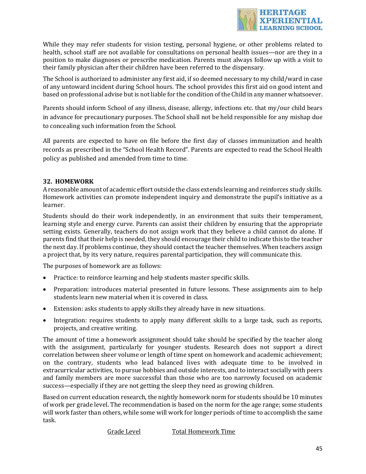

While they may refer students for vision testing, personal hygiene, or other problems related to health, school staff are not available for consultations on personal health issues—nor are they in a position to make diagnoses or prescribe medication. Parents must always follow up with a visit to their family physician after their children have been referred to the dispensary.

The School is authorized to administer any first aid, if so deemed necessary to my child/ward in case of any untoward incident during School hours. The school provides this first aid on good intent and based on professional advise but is not liable for the condition of the Child in any manner whatsoever.

Parents should inform School of any illness, disease, allergy, infections etc. that my/our child bears in advance for precautionary purposes. The School shall not be held responsible for any mishap due to concealing such information from the School.

All parents are expected to have on file before the first day of classes immunization and health records as prescribed in the "School Health Record". Parents are expected to read the School Health policy as published and amended from time to time.

## **32. HOMEWORK**

A reasonable amount of academic effort outside the class extends learning and reinforces study skills. Homework activities can promote independent inquiry and demonstrate the pupil's initiative as a learner.

Students should do their work independently, in an environment that suits their temperament, learning style and energy curve. Parents can assist their children by ensuring that the appropriate setting exists. Generally, teachers do not assign work that they believe a child cannot do alone. If parents find that their help is needed, they should encourage their child to indicate this to the teacher the next day. If problems continue, they should contact the teacher themselves. When teachers assign a project that, by its very nature, requires parental participation, they will communicate this.

The purposes of homework are as follows:

- Practice: to reinforce learning and help students master specific skills.
- Preparation: introduces material presented in future lessons. These assignments aim to help students learn new material when it is covered in class.
- Extension: asks students to apply skills they already have in new situations.
- Integration: requires students to apply many different skills to a large task, such as reports, projects, and creative writing.

The amount of time a homework assignment should take should be specified by the teacher along with the assignment, particularly for younger students. Research does not support a direct correlation between sheer volume or length of time spent on homework and academic achievement; on the contrary, students who lead balanced lives with adequate time to be involved in extracurricular activities, to pursue hobbies and outside interests, and to interact socially with peers and family members are more successful than those who are too narrowly focused on academic success—especially if they are not getting the sleep they need as growing children.

Based on current education research, the nightly homework norm for students should be 10 minutes of work per grade level. The recommendation is based on the norm for the age range; some students will work faster than others, while some will work for longer periods of time to accomplish the same task.

Grade Level Total Homework Time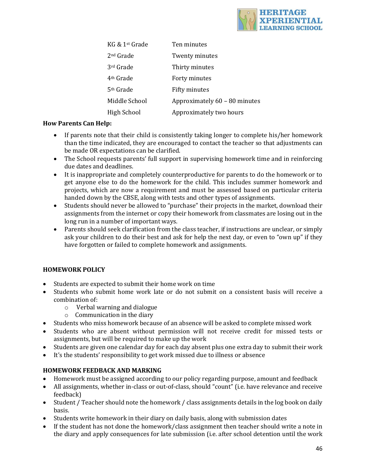

| KG & 1 <sup>st</sup> Grade | Ten minutes                   |
|----------------------------|-------------------------------|
| 2nd Grade                  | Twenty minutes                |
| 3rd Grade                  | Thirty minutes                |
| 4 <sup>th</sup> Grade      | Forty minutes                 |
| 5 <sup>th</sup> Grade      | Fifty minutes                 |
| Middle School              | Approximately 60 - 80 minutes |
| High School                | Approximately two hours       |

## **How Parents Can Help:**

- If parents note that their child is consistently taking longer to complete his/her homework than the time indicated, they are encouraged to contact the teacher so that adjustments can be made OR expectations can be clarified.
- The School requests parents' full support in supervising homework time and in reinforcing due dates and deadlines.
- It is inappropriate and completely counterproductive for parents to do the homework or to get anyone else to do the homework for the child. This includes summer homework and projects, which are now a requirement and must be assessed based on particular criteria handed down by the CBSE, along with tests and other types of assignments.
- Students should never be allowed to "purchase" their projects in the market, download their assignments from the internet or copy their homework from classmates are losing out in the long run in a number of important ways.
- Parents should seek clarification from the class teacher, if instructions are unclear, or simply ask your children to do their best and ask for help the next day, or even to "own up" if they have forgotten or failed to complete homework and assignments.

## **HOMEWORK POLICY**

- Students are expected to submit their home work on time
- Students who submit home work late or do not submit on a consistent basis will receive a combination of:
	- $\circ$  Verbal warning and dialogue
	- $\circ$  Communication in the diary
- Students who miss homework because of an absence will be asked to complete missed work
- Students who are absent without permission will not receive credit for missed tests or assignments, but will be required to make up the work
- Students are given one calendar day for each day absent plus one extra day to submit their work
- It's the students' responsibility to get work missed due to illness or absence

## **HOMEWORK FEEDBACK AND MARKING**

- Homework must be assigned according to our policy regarding purpose, amount and feedback
- All assignments, whether in-class or out-of-class, should "count" (i.e. have relevance and receive feedback)
- Student / Teacher should note the homework / class assignments details in the log book on daily basis.
- Students write homework in their diary on daily basis, along with submission dates
- If the student has not done the homework/class assignment then teacher should write a note in the diary and apply consequences for late submission (i.e. after school detention until the work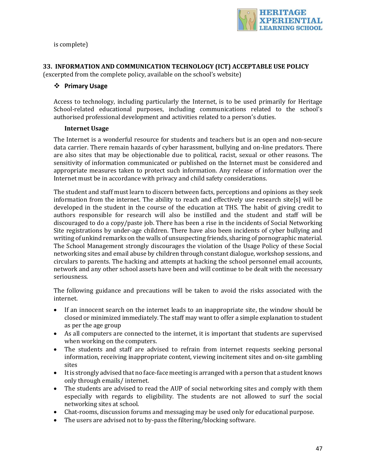

is complete)

## **33. INFORMATION AND COMMUNICATION TECHNOLOGY (ICT) ACCEPTABLE USE POLICY**

(excerpted from the complete policy, available on the school's website)

## v **Primary Usage**

Access to technology, including particularly the Internet, is to be used primarily for Heritage School-related educational purposes, including communications related to the school's authorised professional development and activities related to a person's duties.

## **Internet Usage**

The Internet is a wonderful resource for students and teachers but is an open and non-secure data carrier. There remain hazards of cyber harassment, bullying and on-line predators. There are also sites that may be objectionable due to political, racist, sexual or other reasons. The sensitivity of information communicated or published on the Internet must be considered and appropriate measures taken to protect such information. Any release of information over the Internet must be in accordance with privacy and child safety considerations.

The student and staff must learn to discern between facts, perceptions and opinions as they seek information from the internet. The ability to reach and effectively use research site[s] will be developed in the student in the course of the education at THS. The habit of giving credit to authors responsible for research will also be instilled and the student and staff will be discouraged to do a copy/paste job. There has been a rise in the incidents of Social Networking Site registrations by under-age children. There have also been incidents of cyber bullying and writing of unkind remarks on the walls of unsuspecting friends, sharing of pornographic material. The School Management strongly discourages the violation of the Usage Policy of these Social networking sites and email abuse by children through constant dialogue, workshop sessions, and circulars to parents. The hacking and attempts at hacking the school personnel email accounts, network and any other school assets have been and will continue to be dealt with the necessary seriousness.

The following guidance and precautions will be taken to avoid the risks associated with the internet.

- If an innocent search on the internet leads to an inappropriate site, the window should be closed or minimized immediately. The staff may want to offer a simple explanation to student as per the age group
- As all computers are connected to the internet, it is important that students are supervised when working on the computers.
- The students and staff are advised to refrain from internet requests seeking personal information, receiving inappropriate content, viewing incitement sites and on-site gambling sites
- $\bullet$  It is strongly advised that no face-face meeting is arranged with a person that a student knows only through emails/ internet.
- The students are advised to read the AUP of social networking sites and comply with them especially with regards to eligibility. The students are not allowed to surf the social networking sites at school.
- Chat-rooms, discussion forums and messaging may be used only for educational purpose.
- The users are advised not to by-pass the filtering/blocking software.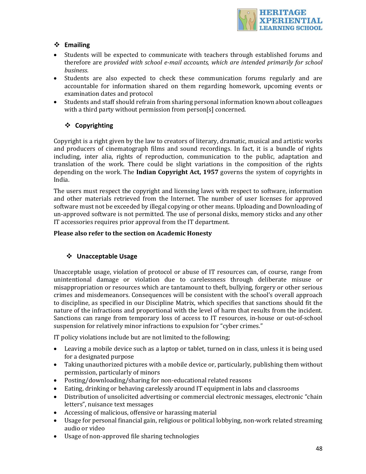

## v **Emailing**

- Students will be expected to communicate with teachers through established forums and therefore are *provided with school e-mail accounts, which are intended primarily for school business*.
- Students are also expected to check these communication forums regularly and are accountable for information shared on them regarding homework, upcoming events or examination dates and protocol
- Students and staff should refrain from sharing personal information known about colleagues with a third party without permission from person[s] concerned.

## v **Copyrighting**

Copyright is a right given by the law to creators of literary, dramatic, musical and artistic works and producers of cinematograph films and sound recordings. In fact, it is a bundle of rights including, inter alia, rights of reproduction, communication to the public, adaptation and translation of the work. There could be slight variations in the composition of the rights depending on the work. The **Indian Copyright Act, 1957** governs the system of copyrights in India.

The users must respect the copyright and licensing laws with respect to software, information and other materials retrieved from the Internet. The number of user licenses for approved software must not be exceeded by illegal copying or other means. Uploading and Downloading of un-approved software is not permitted. The use of personal disks, memory sticks and any other IT accessories requires prior approval from the IT department.

## Please also refer to the section on Academic Honesty

## v **Unacceptable Usage**

Unacceptable usage, violation of protocol or abuse of IT resources can, of course, range from unintentional damage or violation due to carelessness through deliberate misuse or misappropriation or resources which are tantamount to theft, bullying, forgery or other serious crimes and misdemeanors. Consequences will be consistent with the school's overall approach to discipline, as specified in our Discipline Matrix, which specifies that sanctions should fit the nature of the infractions and proportional with the level of harm that results from the incident. Sanctions can range from temporary loss of access to IT resources, in-house or out-of-school suspension for relatively minor infractions to expulsion for "cyber crimes."

IT policy violations include but are not limited to the following;

- Leaving a mobile device such as a laptop or tablet, turned on in class, unless it is being used for a designated purpose
- Taking unauthorized pictures with a mobile device or, particularly, publishing them without permission, particularly of minors
- Posting/downloading/sharing for non-educational related reasons
- Eating, drinking or behaving carelessly around IT equipment in labs and classrooms
- Distribution of unsolicited advertising or commercial electronic messages, electronic "chain letters", nuisance text messages
- Accessing of malicious, offensive or harassing material
- Usage for personal financial gain, religious or political lobbying, non-work related streaming audio or video
- Usage of non-approved file sharing technologies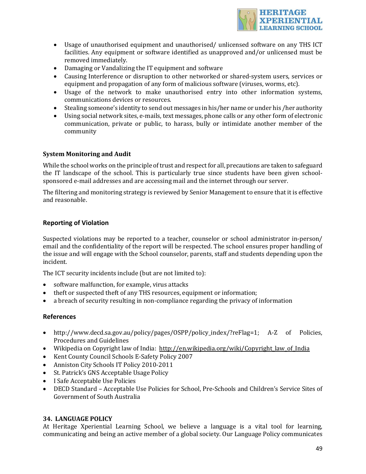

- Usage of unauthorised equipment and unauthorised/ unlicensed software on any THS ICT facilities. Any equipment or software identified as unapproved and/or unlicensed must be removed immediately.
- Damaging or Vandalizing the IT equipment and software
- Causing Interference or disruption to other networked or shared-system users, services or equipment and propagation of any form of malicious software (viruses, worms, etc).
- Usage of the network to make unauthorised entry into other information systems, communications devices or resources.
- Stealing someone's identity to send out messages in his/her name or under his/her authority
- Using social network sites, e-mails, text messages, phone calls or any other form of electronic communication, private or public, to harass, bully or intimidate another member of the community

## **System Monitoring and Audit**

While the school works on the principle of trust and respect for all, precautions are taken to safeguard the IT landscape of the school. This is particularly true since students have been given schoolsponsored e-mail addresses and are accessing mail and the internet through our server.

The filtering and monitoring strategy is reviewed by Senior Management to ensure that it is effective and reasonable.

## **Reporting of Violation**

Suspected violations may be reported to a teacher, counselor or school administrator in-person/ email and the confidentiality of the report will be respected. The school ensures proper handling of the issue and will engage with the School counselor, parents, staff and students depending upon the incident.

The ICT security incidents include (but are not limited to):

- software malfunction, for example, virus attacks
- theft or suspected theft of any THS resources, equipment or information;
- a breach of security resulting in non-compliance regarding the privacy of information

## **References**

- http://www.decd.sa.gov.au/policy/pages/OSPP/policy\_index/?reFlag=1; A-Z of Policies, Procedures and Guidelines
- Wikipedia on Copyright law of India: http://en.wikipedia.org/wiki/Copyright law of India
- Kent County Council Schools E-Safety Policy 2007
- Anniston City Schools IT Policy 2010-2011
- St. Patrick's GNS Acceptable Usage Policy
- I Safe Acceptable Use Policies
- DECD Standard Acceptable Use Policies for School, Pre-Schools and Children's Service Sites of Government of South Australia

## **34. LANGUAGE POLICY**

At Heritage Xperiential Learning School, we believe a language is a vital tool for learning, communicating and being an active member of a global society. Our Language Policy communicates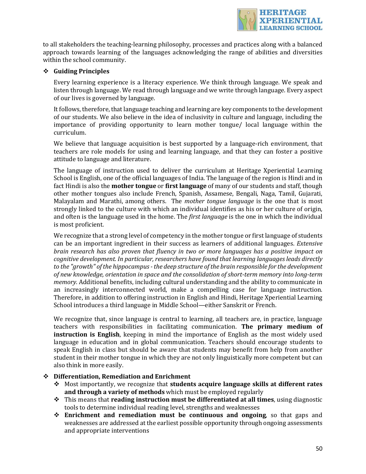

to all stakeholders the teaching-learning philosophy, processes and practices along with a balanced approach towards learning of the languages acknowledging the range of abilities and diversities within the school community.

## v **Guiding Principles**

Every learning experience is a literacy experience. We think through language. We speak and listen through language. We read through language and we write through language. Every aspect of our lives is governed by language.

It follows, therefore, that language teaching and learning are key components to the development of our students. We also believe in the idea of inclusivity in culture and language, including the importance of providing opportunity to learn mother tongue/ local language within the curriculum.

We believe that language acquisition is best supported by a language-rich environment, that teachers are role models for using and learning language, and that they can foster a positive attitude to language and literature.

The language of instruction used to deliver the curriculum at Heritage Xperiential Learning School is English, one of the official languages of India. The language of the region is Hindi and in fact Hindi is also the **mother tongue** or **first language** of many of our students and staff, though other mother tongues also include French, Spanish, Assamese, Bengali, Naga, Tamil, Gujarati, Malayalam and Marathi, among others. The *mother tongue language* is the one that is most strongly linked to the culture with which an individual identifies as his or her culture of origin, and often is the language used in the home. The *first language* is the one in which the individual is most proficient.

We recognize that a strong level of competency in the mother tongue or first language of students can be an important ingredient in their success as learners of additional languages. *Extensive brain research has also proven that fluency in two or more languages has a positive impact on cognitive development. In particular, researchers have found that learning languages leads directly* to the "growth" of the hippocampus - the deep structure of the brain responsible for the development of new knowledge, orientation in space and the consolidation of short-term memory into long-term *memory.* Additional benefits, including cultural understanding and the ability to communicate in an increasingly interconnected world, make a compelling case for language instruction. Therefore, in addition to offering instruction in English and Hindi, Heritage Xperiential Learning School introduces a third language in Middle School—either Sanskrit or French.

We recognize that, since language is central to learning, all teachers are, in practice, language teachers with responsibilities in facilitating communication. **The primary medium of instruction is English**, keeping in mind the importance of English as the most widely used language in education and in global communication. Teachers should encourage students to speak English in class but should be aware that students may benefit from help from another student in their mother tongue in which they are not only linguistically more competent but can also think in more easily.

#### **❖** Differentiation, Remediation and Enrichment

- \* Most importantly, we recognize that **students acquire language skills at different rates** and through a variety of methods which must be employed regularly
- **→** This means that **reading instruction must be differentiated at all times**, using diagnostic tools to determine individual reading level, strengths and weaknesses
- \* **Enrichment and remediation must be continuous and ongoing**, so that gaps and weaknesses are addressed at the earliest possible opportunity through ongoing assessments and appropriate interventions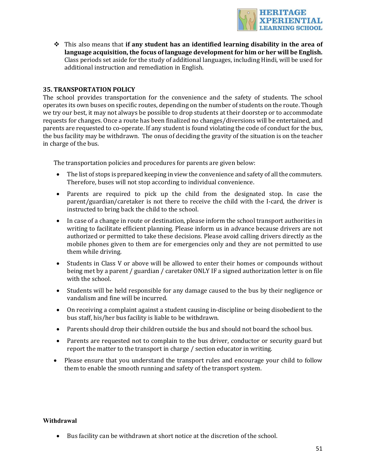

 $\div$  This also means that **if any student has an identified learning disability in the area of** language acquisition, the focus of language development for him or her will be English. Class periods set aside for the study of additional languages, including Hindi, will be used for additional instruction and remediation in English.

## **35. TRANSPORTATION POLICY**

The school provides transportation for the convenience and the safety of students. The school operates its own buses on specific routes, depending on the number of students on the route. Though we try our best, it may not always be possible to drop students at their doorstep or to accommodate requests for changes. Once a route has been finalized no changes/diversions will be entertained, and parents are requested to co-operate. If any student is found violating the code of conduct for the bus, the bus facility may be withdrawn. The onus of deciding the gravity of the situation is on the teacher in charge of the bus.

The transportation policies and procedures for parents are given below:

- The list of stops is prepared keeping in view the convenience and safety of all the commuters. Therefore, buses will not stop according to individual convenience.
- Parents are required to pick up the child from the designated stop. In case the parent/guardian/caretaker is not there to receive the child with the I-card, the driver is instructed to bring back the child to the school.
- In case of a change in route or destination, please inform the school transport authorities in writing to facilitate efficient planning. Please inform us in advance because drivers are not authorized or permitted to take these decisions. Please avoid calling drivers directly as the mobile phones given to them are for emergencies only and they are not permitted to use them while driving.
- Students in Class V or above will be allowed to enter their homes or compounds without being met by a parent / guardian / caretaker ONLY IF a signed authorization letter is on file with the school.
- Students will be held responsible for any damage caused to the bus by their negligence or vandalism and fine will be incurred.
- On receiving a complaint against a student causing in-discipline or being disobedient to the bus staff, his/her bus facility is liable to be withdrawn.
- Parents should drop their children outside the bus and should not board the school bus.
- Parents are requested not to complain to the bus driver, conductor or security guard but report the matter to the transport in charge / section educator in writing.
- Please ensure that you understand the transport rules and encourage your child to follow them to enable the smooth running and safety of the transport system.

#### **Withdrawal**

• Bus facility can be withdrawn at short notice at the discretion of the school.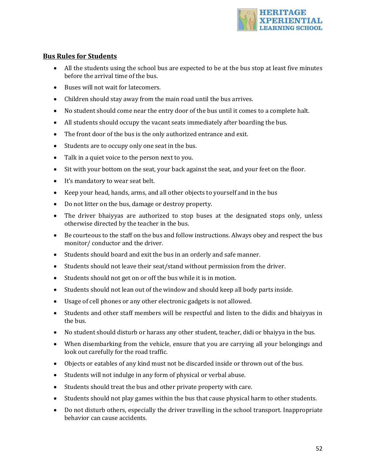

## **Bus Rules for Students**

- All the students using the school bus are expected to be at the bus stop at least five minutes before the arrival time of the bus.
- Buses will not wait for latecomers.
- Children should stay away from the main road until the bus arrives.
- No student should come near the entry door of the bus until it comes to a complete halt.
- All students should occupy the vacant seats immediately after boarding the bus.
- The front door of the bus is the only authorized entrance and exit.
- Students are to occupy only one seat in the bus.
- Talk in a quiet voice to the person next to you.
- Sit with your bottom on the seat, your back against the seat, and your feet on the floor.
- It's mandatory to wear seat belt.
- Keep your head, hands, arms, and all other objects to yourself and in the bus
- Do not litter on the bus, damage or destroy property.
- The driver bhaiyyas are authorized to stop buses at the designated stops only, unless otherwise directed by the teacher in the bus.
- Be courteous to the staff on the bus and follow instructions. Always obey and respect the bus monitor/ conductor and the driver.
- Students should board and exit the bus in an orderly and safe manner.
- Students should not leave their seat/stand without permission from the driver.
- Students should not get on or off the bus while it is in motion.
- Students should not lean out of the window and should keep all body parts inside.
- Usage of cell phones or any other electronic gadgets is not allowed.
- Students and other staff members will be respectful and listen to the didis and bhaiyyas in the bus.
- No student should disturb or harass any other student, teacher, didi or bhaiyya in the bus.
- When disembarking from the vehicle, ensure that you are carrying all your belongings and look out carefully for the road traffic.
- Objects or eatables of any kind must not be discarded inside or thrown out of the bus.
- Students will not indulge in any form of physical or verbal abuse.
- Students should treat the bus and other private property with care.
- Students should not play games within the bus that cause physical harm to other students.
- Do not disturb others, especially the driver travelling in the school transport. Inappropriate behavior can cause accidents.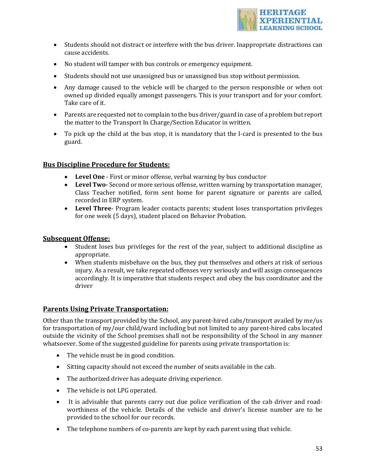

- Students should not distract or interfere with the bus driver. Inappropriate distractions can cause accidents.
- No student will tamper with bus controls or emergency equipment.
- Students should not use unassigned bus or unassigned bus stop without permission.
- Any damage caused to the vehicle will be charged to the person responsible or when not owned up divided equally amongst passengers. This is your transport and for your comfort. Take care of it.
- Parents are requested not to complain to the bus driver/guard in case of a problem but report the matter to the Transport In Charge/Section Educator in written.
- To pick up the child at the bus stop, it is mandatory that the I-card is presented to the bus guard.

## **Bus Discipline Procedure for Students:**

- Level One First or minor offense, verbal warning by bus conductor
- Level Two-Second or more serious offense, written warning by transportation manager, Class Teacher notified, form sent home for parent signature or parents are called, recorded in ERP system.
- Level Three- Program leader contacts parents; student loses transportation privileges for one week (5 days), student placed on Behavior Probation.

## **Subsequent Offense:**

- Student loses bus privileges for the rest of the year, subject to additional discipline as appropriate.
- When students misbehave on the bus, they put themselves and others at risk of serious injury. As a result, we take repeated offenses very seriously and will assign consequences accordingly. It is imperative that students respect and obey the bus coordinator and the driver

## **Parents Using Private Transportation:**

Other than the transport provided by the School, any parent-hired cabs/transport availed by me/us for transportation of my/our child/ward including but not limited to any parent-hired cabs located outside the vicinity of the School premises shall not be responsibility of the School in any manner whatsoever. Some of the suggested guideline for parents using private transportation is:

- The vehicle must be in good condition.
- Sitting capacity should not exceed the number of seats available in the cab.
- The authorized driver has adequate driving experience.
- The vehicle is not LPG operated.
- It is advisable that parents carry out due police verification of the cab driver and roadworthiness of the vehicle. Details of the vehicle and driver's license number are to be provided to the school for our records.
- The telephone numbers of co-parents are kept by each parent using that vehicle.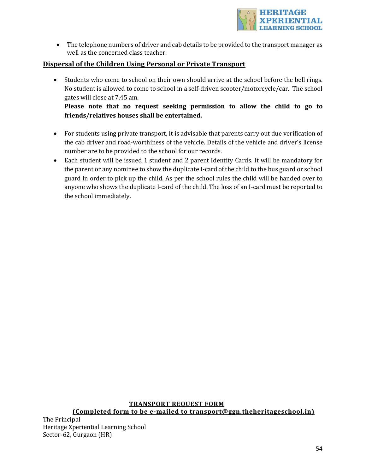

• The telephone numbers of driver and cab details to be provided to the transport manager as well as the concerned class teacher.

## **Dispersal of the Children Using Personal or Private Transport**

• Students who come to school on their own should arrive at the school before the bell rings. No student is allowed to come to school in a self-driven scooter/motorcycle/car. The school gates will close at 7.45 am.

Please note that no request seeking permission to allow the child to go to **friends/relatives houses shall be entertained.**

- For students using private transport, it is advisable that parents carry out due verification of the cab driver and road-worthiness of the vehicle. Details of the vehicle and driver's license number are to be provided to the school for our records.
- Each student will be issued 1 student and 2 parent Identity Cards. It will be mandatory for the parent or any nominee to show the duplicate I-card of the child to the bus guard or school guard in order to pick up the child. As per the school rules the child will be handed over to anyone who shows the duplicate I-card of the child. The loss of an I-card must be reported to the school immediately.

## **TRANSPORT REQUEST FORM**

## **(Completed form to be e-mailed to transport@ggn.theheritageschool.in)**

The Principal Heritage Xperiential Learning School Sector-62, Gurgaon (HR)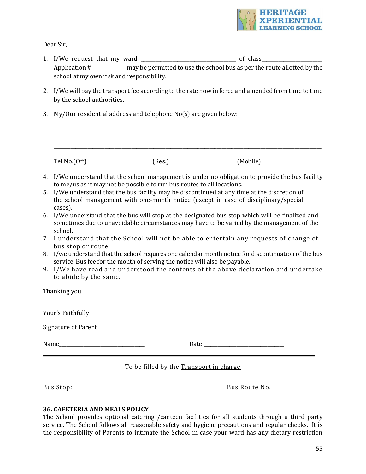

Dear Sir.

- 1. I/We request that my ward \_\_\_\_\_\_\_\_\_\_\_\_\_\_\_\_\_\_\_\_\_\_\_\_\_\_\_\_\_\_\_\_\_\_\_\_\_\_\_ of class\_\_\_\_\_\_\_\_\_\_\_\_\_\_\_\_\_\_\_\_\_\_\_\_\_ Application  $\#$  may be permitted to use the school bus as per the route allotted by the school at my own risk and responsibility.
- 2. I/We will pay the transport fee according to the rate now in force and amended from time to time by the school authorities.
- 3. My/Our residential address and telephone  $No(s)$  are given below:

 $\text{Tel No.}(Off)$  (Res.)  $\qquad \qquad \text{(Res.)}$  (Mobile)

\_\_\_\_\_\_\_\_\_\_\_\_\_\_\_\_\_\_\_\_\_\_\_\_\_\_\_\_\_\_\_\_\_\_\_\_\_\_\_\_\_\_\_\_\_\_\_\_\_\_\_\_\_\_\_\_\_\_\_\_\_\_\_\_\_\_\_\_\_\_\_\_\_\_\_\_\_\_\_\_\_\_\_\_\_\_\_\_\_\_\_\_\_\_\_\_\_\_\_\_\_\_\_\_\_\_\_\_\_\_

\_\_\_\_\_\_\_\_\_\_\_\_\_\_\_\_\_\_\_\_\_\_\_\_\_\_\_\_\_\_\_\_\_\_\_\_\_\_\_\_\_\_\_\_\_\_\_\_\_\_\_\_\_\_\_\_\_\_\_\_\_\_\_\_\_\_\_\_\_\_\_\_\_\_\_\_\_\_\_\_\_\_\_\_\_\_\_\_\_\_\_\_\_\_\_\_\_\_\_\_\_\_\_\_\_\_\_\_\_\_

- 4. I/We understand that the school management is under no obligation to provide the bus facility to me/us as it may not be possible to run bus routes to all locations.
- 5. I/We understand that the bus facility may be discontinued at any time at the discretion of the school management with one-month notice (except in case of disciplinary/special cases).
- 6. I/We understand that the bus will stop at the designated bus stop which will be finalized and sometimes due to unavoidable circumstances may have to be varied by the management of the school.
- 7. I understand that the School will not be able to entertain any requests of change of bus stop or route.
- 8. I/we understand that the school requires one calendar month notice for discontinuation of the bus service. Bus fee for the month of serving the notice will also be payable.
- 9. I/We have read and understood the contents of the above declaration and undertake to abide by the same.

Thanking you Your's Faithfully Signature of Parent Name\_\_\_\_\_\_\_\_\_\_\_\_\_\_\_\_\_\_\_\_\_\_\_\_\_\_\_\_\_\_\_\_\_\_\_ Date \_\_\_\_\_\_\_\_\_\_\_\_\_\_\_\_\_\_\_\_\_\_\_\_\_\_\_\_\_\_\_\_\_\_ To be filled by the Transport in charge

Bus Stop: \_\_\_\_\_\_\_\_\_\_\_\_\_\_\_\_\_\_\_\_\_\_\_\_\_\_\_\_\_\_\_\_\_\_\_\_\_\_\_\_\_\_\_\_\_\_\_\_\_\_\_\_\_\_ Bus Route No. \_\_\_\_\_\_\_\_\_\_\_\_ 

## **36. CAFETERIA AND MEALS POLICY**

The School provides optional catering /canteen facilities for all students through a third party service. The School follows all reasonable safety and hygiene precautions and regular checks. It is the responsibility of Parents to intimate the School in case your ward has any dietary restriction